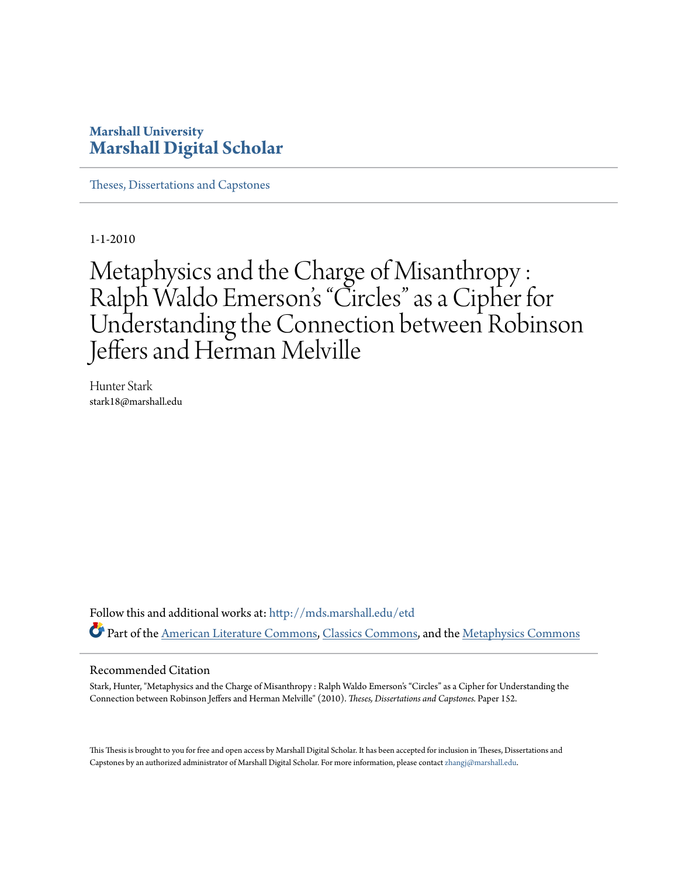# **Marshall University [Marshall Digital Scholar](http://mds.marshall.edu?utm_source=mds.marshall.edu%2Fetd%2F152&utm_medium=PDF&utm_campaign=PDFCoverPages)**

[Theses, Dissertations and Capstones](http://mds.marshall.edu/etd?utm_source=mds.marshall.edu%2Fetd%2F152&utm_medium=PDF&utm_campaign=PDFCoverPages)

1-1-2010

# Metaphysics and the Charge of Misanthropy : Ralph Waldo Emerson 's "Circles" as a Cipher for Understanding the Connection between Robinson Jeffers and Herman Melville

Hunter Stark stark18@marshall.edu

Follow this and additional works at: [http://mds.marshall.edu/etd](http://mds.marshall.edu/etd?utm_source=mds.marshall.edu%2Fetd%2F152&utm_medium=PDF&utm_campaign=PDFCoverPages) Part of the [American Literature Commons,](http://network.bepress.com/hgg/discipline/441?utm_source=mds.marshall.edu%2Fetd%2F152&utm_medium=PDF&utm_campaign=PDFCoverPages) [Classics Commons](http://network.bepress.com/hgg/discipline/446?utm_source=mds.marshall.edu%2Fetd%2F152&utm_medium=PDF&utm_campaign=PDFCoverPages), and the [Metaphysics Commons](http://network.bepress.com/hgg/discipline/533?utm_source=mds.marshall.edu%2Fetd%2F152&utm_medium=PDF&utm_campaign=PDFCoverPages)

#### Recommended Citation

Stark, Hunter, "Metaphysics and the Charge of Misanthropy : Ralph Waldo Emerson's "Circles" as a Cipher for Understanding the Connection between Robinson Jeffers and Herman Melville" (2010). *Theses, Dissertations and Capstones.* Paper 152.

This Thesis is brought to you for free and open access by Marshall Digital Scholar. It has been accepted for inclusion in Theses, Dissertations and Capstones by an authorized administrator of Marshall Digital Scholar. For more information, please contact [zhangj@marshall.edu.](mailto:zhangj@marshall.edu)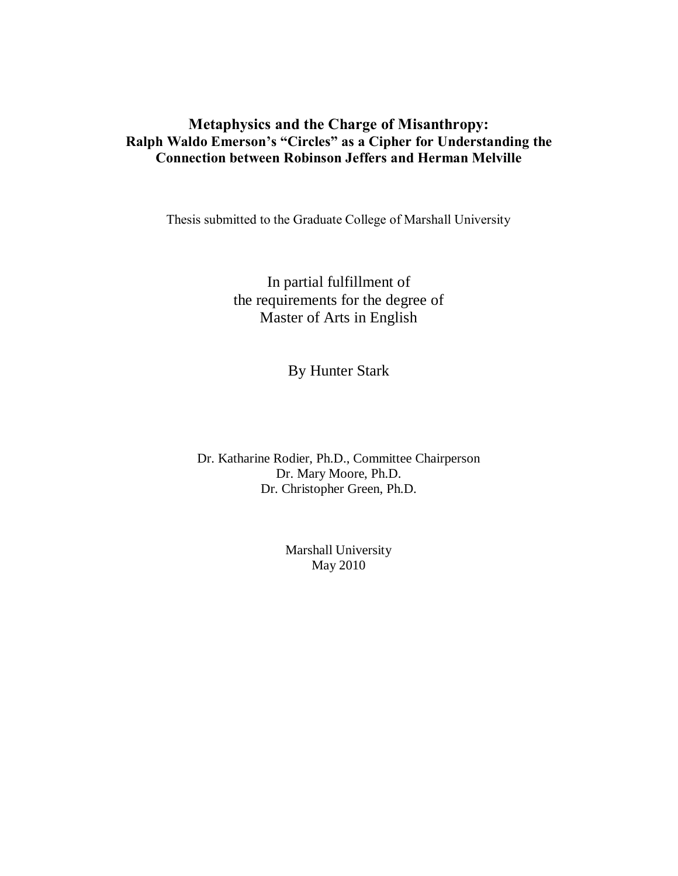# **Metaphysics and the Charge of Misanthropy: Ralph Waldo Emerson's "Circles" as a Cipher for Understanding the Connection between Robinson Jeffers and Herman Melville**

Thesis submitted to the Graduate College of Marshall University

In partial fulfillment of the requirements for the degree of Master of Arts in English

By Hunter Stark

Dr. Katharine Rodier, Ph.D., Committee Chairperson Dr. Mary Moore, Ph.D. Dr. Christopher Green, Ph.D.

> Marshall University May 2010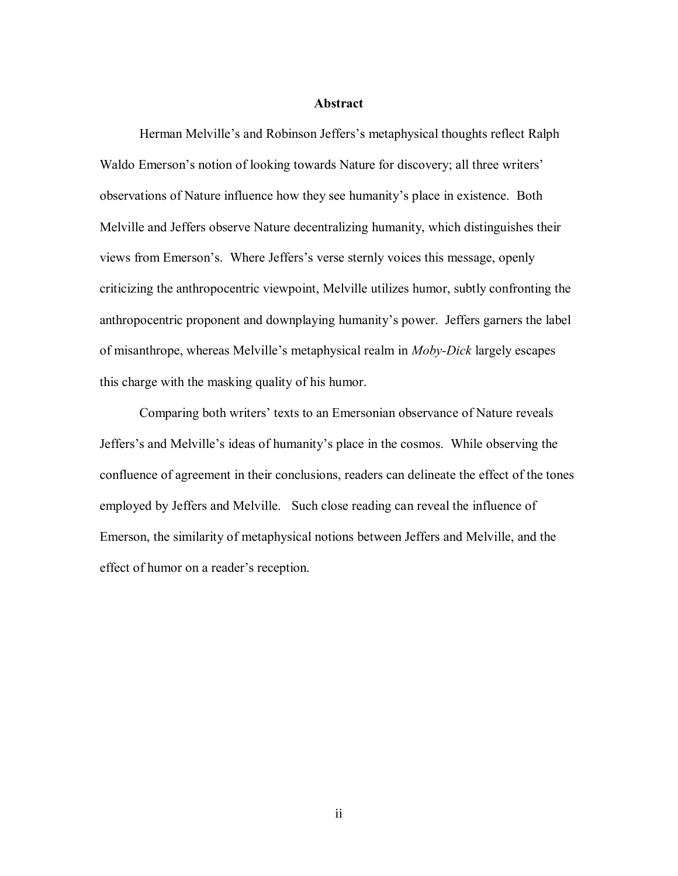#### **Abstract**

Herman Melville's and Robinson Jeffers's metaphysical thoughts reflect Ralph Waldo Emerson's notion of looking towards Nature for discovery; all three writers' observations of Nature influence how they see humanity's place in existence. Both Melville and Jeffers observe Nature decentralizing humanity, which distinguishes their views from Emerson's. Where Jeffers's verse sternly voices this message, openly criticizing the anthropocentric viewpoint, Melville utilizes humor, subtly confronting the anthropocentric proponent and downplaying humanity's power. Jeffers garners the label of misanthrope, whereas Melville's metaphysical realm in *Moby-Dick* largely escapes this charge with the masking quality of his humor.

Comparing both writers' texts to an Emersonian observance of Nature reveals Jeffers's and Melville's ideas of humanity's place in the cosmos. While observing the confluence of agreement in their conclusions, readers can delineate the effect of the tones employed by Jeffers and Melville. Such close reading can reveal the influence of Emerson, the similarity of metaphysical notions between Jeffers and Melville, and the effect of humor on a reader's reception.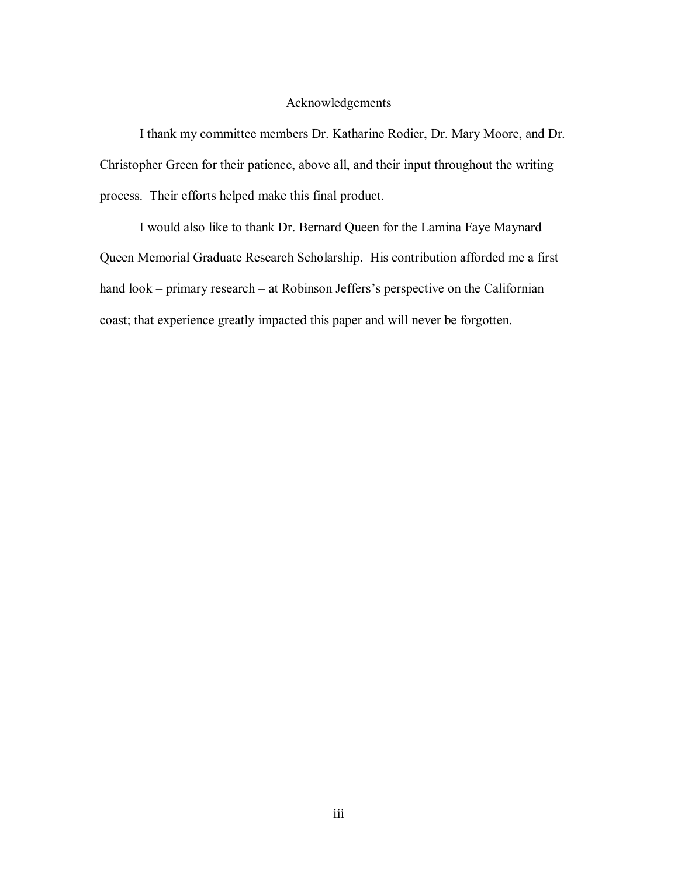#### Acknowledgements

I thank my committee members Dr. Katharine Rodier, Dr. Mary Moore, and Dr. Christopher Green for their patience, above all, and their input throughout the writing process. Their efforts helped make this final product.

I would also like to thank Dr. Bernard Queen for the Lamina Faye Maynard Queen Memorial Graduate Research Scholarship. His contribution afforded me a first hand look – primary research – at Robinson Jeffers's perspective on the Californian coast; that experience greatly impacted this paper and will never be forgotten.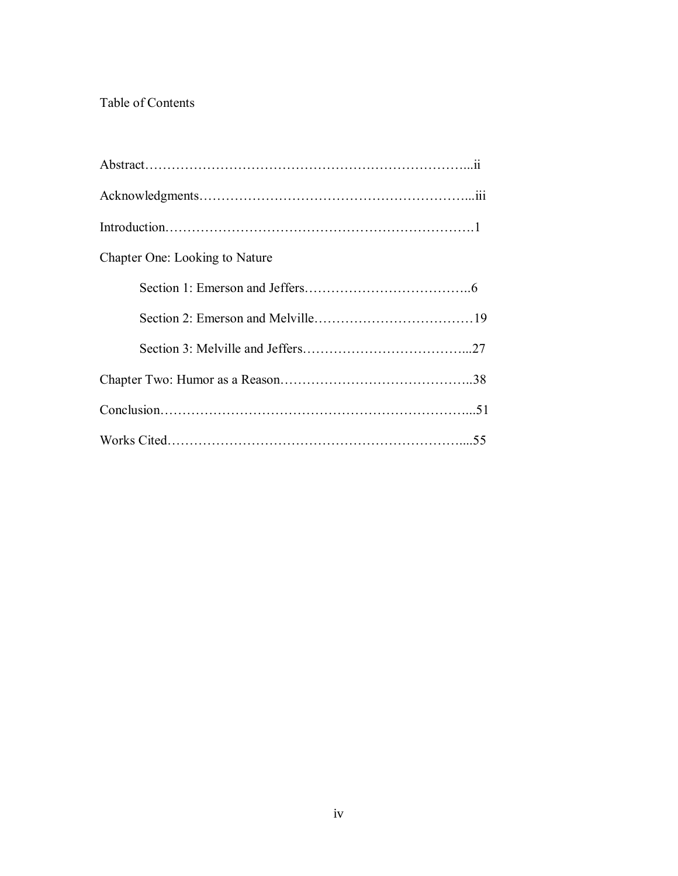# Table of Contents

| Chapter One: Looking to Nature |  |
|--------------------------------|--|
|                                |  |
|                                |  |
|                                |  |
|                                |  |
|                                |  |
|                                |  |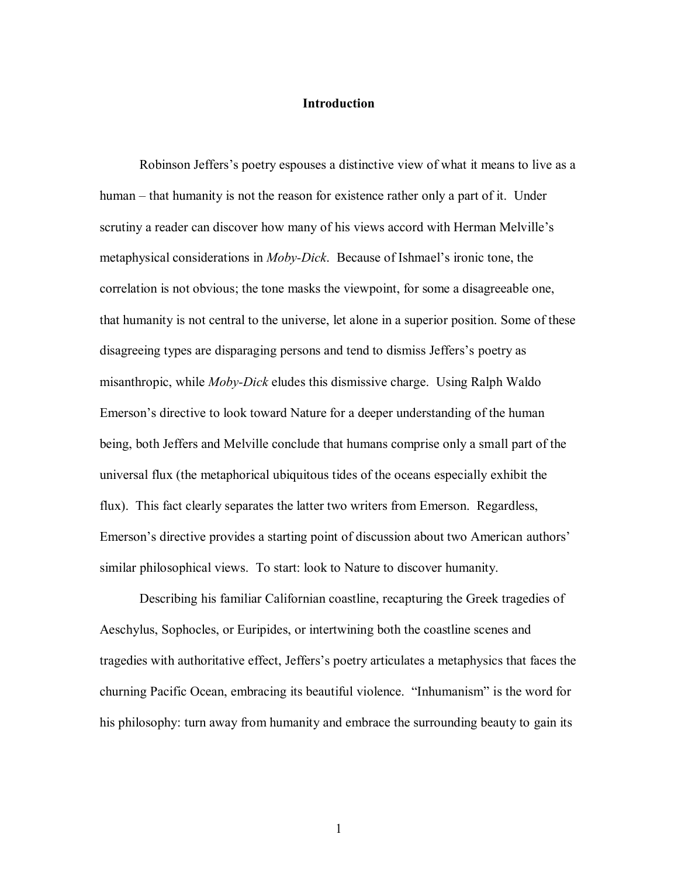#### **Introduction**

Robinson Jeffers"s poetry espouses a distinctive view of what it means to live as a human – that humanity is not the reason for existence rather only a part of it. Under scrutiny a reader can discover how many of his views accord with Herman Melville's metaphysical considerations in *Moby-Dick*. Because of Ishmael"s ironic tone, the correlation is not obvious; the tone masks the viewpoint, for some a disagreeable one, that humanity is not central to the universe, let alone in a superior position. Some of these disagreeing types are disparaging persons and tend to dismiss Jeffers"s poetry as misanthropic, while *Moby-Dick* eludes this dismissive charge. Using Ralph Waldo Emerson"s directive to look toward Nature for a deeper understanding of the human being, both Jeffers and Melville conclude that humans comprise only a small part of the universal flux (the metaphorical ubiquitous tides of the oceans especially exhibit the flux). This fact clearly separates the latter two writers from Emerson. Regardless, Emerson's directive provides a starting point of discussion about two American authors' similar philosophical views. To start: look to Nature to discover humanity.

Describing his familiar Californian coastline, recapturing the Greek tragedies of Aeschylus, Sophocles, or Euripides, or intertwining both the coastline scenes and tragedies with authoritative effect, Jeffers"s poetry articulates a metaphysics that faces the churning Pacific Ocean, embracing its beautiful violence. "Inhumanism" is the word for his philosophy: turn away from humanity and embrace the surrounding beauty to gain its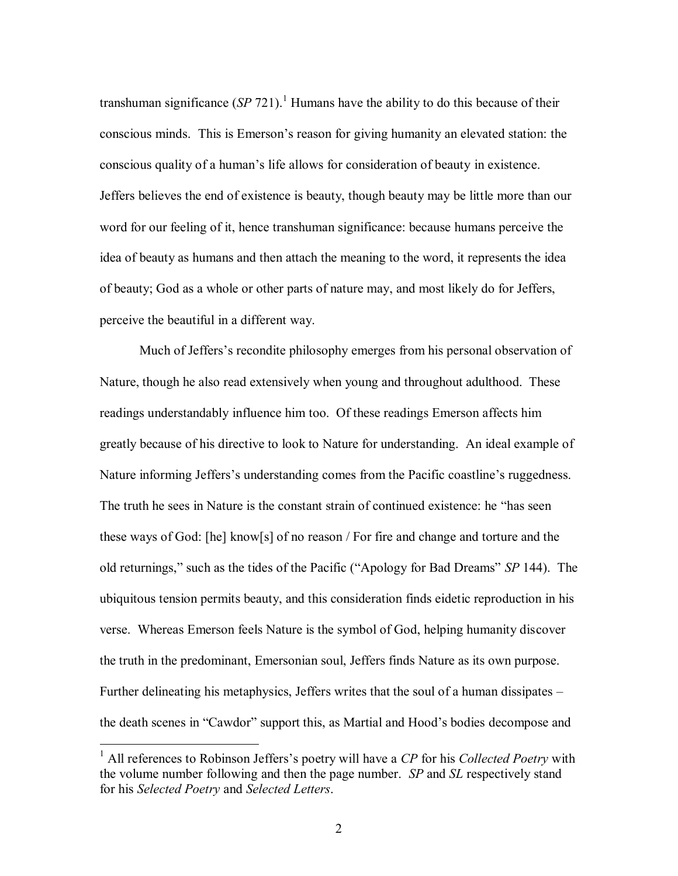transhuman significance  $(SP 721)$ .<sup>1</sup> Humans have the ability to do this because of their conscious minds. This is Emerson"s reason for giving humanity an elevated station: the conscious quality of a human"s life allows for consideration of beauty in existence. Jeffers believes the end of existence is beauty, though beauty may be little more than our word for our feeling of it, hence transhuman significance: because humans perceive the idea of beauty as humans and then attach the meaning to the word, it represents the idea of beauty; God as a whole or other parts of nature may, and most likely do for Jeffers, perceive the beautiful in a different way.

Much of Jeffers's recondite philosophy emerges from his personal observation of Nature, though he also read extensively when young and throughout adulthood. These readings understandably influence him too. Of these readings Emerson affects him greatly because of his directive to look to Nature for understanding. An ideal example of Nature informing Jeffers's understanding comes from the Pacific coastline's ruggedness. The truth he sees in Nature is the constant strain of continued existence: he "has seen these ways of God: [he] know[s] of no reason / For fire and change and torture and the old returnings," such as the tides of the Pacific ("Apology for Bad Dreams" *SP* 144). The ubiquitous tension permits beauty, and this consideration finds eidetic reproduction in his verse. Whereas Emerson feels Nature is the symbol of God, helping humanity discover the truth in the predominant, Emersonian soul, Jeffers finds Nature as its own purpose. Further delineating his metaphysics, Jeffers writes that the soul of a human dissipates – the death scenes in "Cawdor" support this, as Martial and Hood"s bodies decompose and

<sup>1</sup> All references to Robinson Jeffers"s poetry will have a *CP* for his *Collected Poetry* with the volume number following and then the page number. *SP* and *SL* respectively stand for his *Selected Poetry* and *Selected Letters*.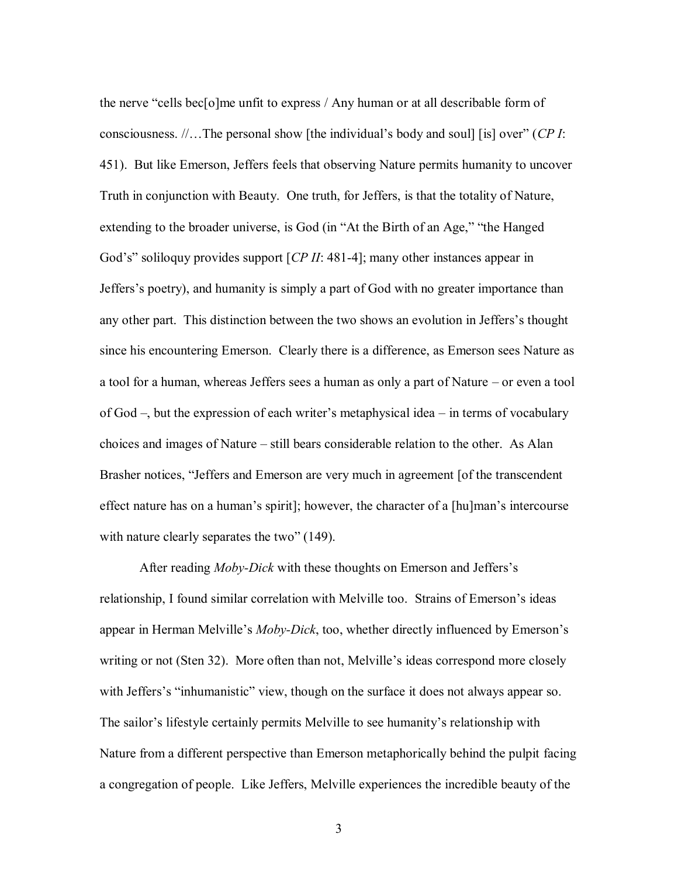the nerve "cells bec[o]me unfit to express / Any human or at all describable form of consciousness. //…The personal show [the individual"s body and soul] [is] over" (*CP I*: 451). But like Emerson, Jeffers feels that observing Nature permits humanity to uncover Truth in conjunction with Beauty. One truth, for Jeffers, is that the totality of Nature, extending to the broader universe, is God (in "At the Birth of an Age," "the Hanged God's" soliloquy provides support [*CP II*: 481-4]; many other instances appear in Jeffers"s poetry), and humanity is simply a part of God with no greater importance than any other part. This distinction between the two shows an evolution in Jeffers"s thought since his encountering Emerson. Clearly there is a difference, as Emerson sees Nature as a tool for a human, whereas Jeffers sees a human as only a part of Nature – or even a tool of God –, but the expression of each writer"s metaphysical idea – in terms of vocabulary choices and images of Nature – still bears considerable relation to the other. As Alan Brasher notices, "Jeffers and Emerson are very much in agreement [of the transcendent effect nature has on a human"s spirit]; however, the character of a [hu]man"s intercourse with nature clearly separates the two" (149).

After reading *Moby-Dick* with these thoughts on Emerson and Jeffers"s relationship, I found similar correlation with Melville too. Strains of Emerson"s ideas appear in Herman Melville"s *Moby-Dick*, too, whether directly influenced by Emerson"s writing or not (Sten 32). More often than not, Melville's ideas correspond more closely with Jeffers's "inhumanistic" view, though on the surface it does not always appear so. The sailor"s lifestyle certainly permits Melville to see humanity"s relationship with Nature from a different perspective than Emerson metaphorically behind the pulpit facing a congregation of people. Like Jeffers, Melville experiences the incredible beauty of the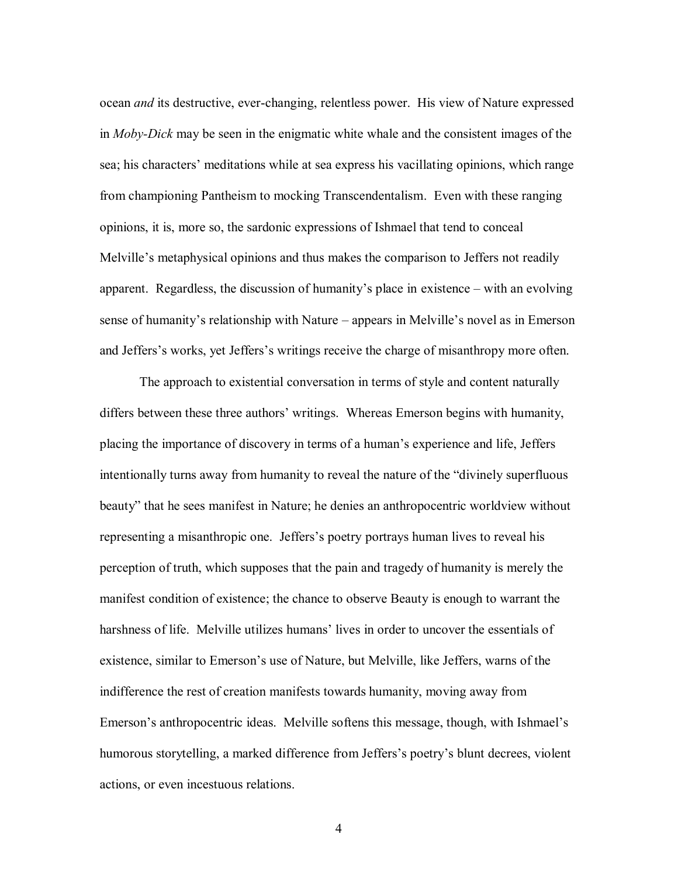ocean *and* its destructive, ever-changing, relentless power. His view of Nature expressed in *Moby-Dick* may be seen in the enigmatic white whale and the consistent images of the sea; his characters" meditations while at sea express his vacillating opinions, which range from championing Pantheism to mocking Transcendentalism. Even with these ranging opinions, it is, more so, the sardonic expressions of Ishmael that tend to conceal Melville"s metaphysical opinions and thus makes the comparison to Jeffers not readily apparent. Regardless, the discussion of humanity"s place in existence – with an evolving sense of humanity"s relationship with Nature – appears in Melville"s novel as in Emerson and Jeffers's works, yet Jeffers's writings receive the charge of misanthropy more often.

The approach to existential conversation in terms of style and content naturally differs between these three authors' writings. Whereas Emerson begins with humanity, placing the importance of discovery in terms of a human"s experience and life, Jeffers intentionally turns away from humanity to reveal the nature of the "divinely superfluous beauty" that he sees manifest in Nature; he denies an anthropocentric worldview without representing a misanthropic one. Jeffers's poetry portrays human lives to reveal his perception of truth, which supposes that the pain and tragedy of humanity is merely the manifest condition of existence; the chance to observe Beauty is enough to warrant the harshness of life. Melville utilizes humans' lives in order to uncover the essentials of existence, similar to Emerson"s use of Nature, but Melville, like Jeffers, warns of the indifference the rest of creation manifests towards humanity, moving away from Emerson"s anthropocentric ideas. Melville softens this message, though, with Ishmael"s humorous storytelling, a marked difference from Jeffers's poetry's blunt decrees, violent actions, or even incestuous relations.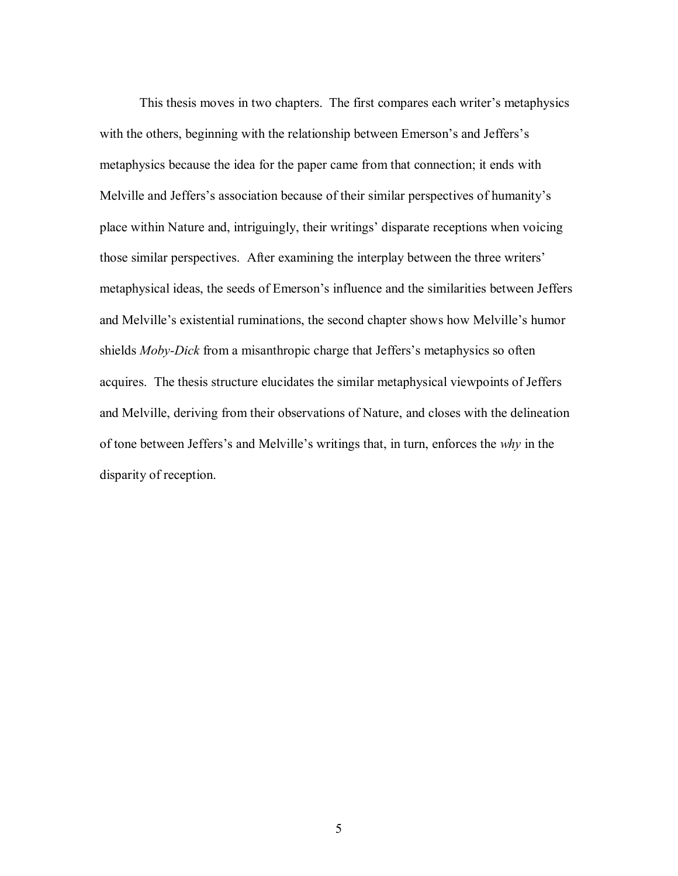This thesis moves in two chapters. The first compares each writer"s metaphysics with the others, beginning with the relationship between Emerson's and Jeffers's metaphysics because the idea for the paper came from that connection; it ends with Melville and Jeffers's association because of their similar perspectives of humanity's place within Nature and, intriguingly, their writings" disparate receptions when voicing those similar perspectives. After examining the interplay between the three writers" metaphysical ideas, the seeds of Emerson"s influence and the similarities between Jeffers and Melville"s existential ruminations, the second chapter shows how Melville"s humor shields *Moby-Dick* from a misanthropic charge that Jeffers's metaphysics so often acquires. The thesis structure elucidates the similar metaphysical viewpoints of Jeffers and Melville, deriving from their observations of Nature, and closes with the delineation of tone between Jeffers"s and Melville"s writings that, in turn, enforces the *why* in the disparity of reception.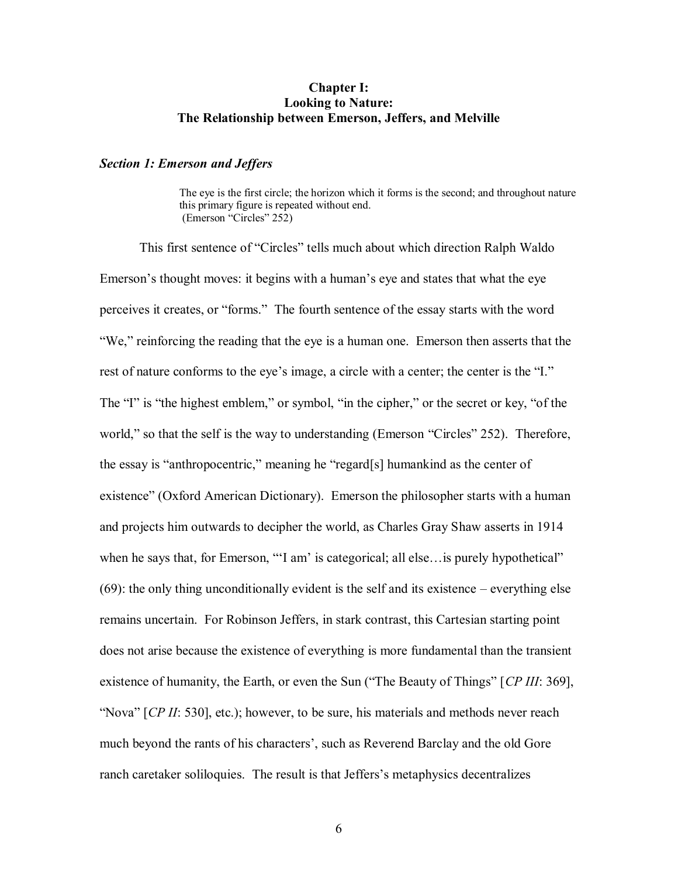### **Chapter I: Looking to Nature: The Relationship between Emerson, Jeffers, and Melville**

#### *Section 1: Emerson and Jeffers*

The eye is the first circle; the horizon which it forms is the second; and throughout nature this primary figure is repeated without end. (Emerson "Circles" 252)

This first sentence of "Circles" tells much about which direction Ralph Waldo Emerson"s thought moves: it begins with a human"s eye and states that what the eye perceives it creates, or "forms." The fourth sentence of the essay starts with the word "We," reinforcing the reading that the eye is a human one. Emerson then asserts that the rest of nature conforms to the eye"s image, a circle with a center; the center is the "I." The "I" is "the highest emblem," or symbol, "in the cipher," or the secret or key, "of the world," so that the self is the way to understanding (Emerson "Circles" 252). Therefore, the essay is "anthropocentric," meaning he "regard[s] humankind as the center of existence" (Oxford American Dictionary). Emerson the philosopher starts with a human and projects him outwards to decipher the world, as Charles Gray Shaw asserts in 1914 when he says that, for Emerson, ""I am' is categorical; all else... is purely hypothetical" (69): the only thing unconditionally evident is the self and its existence – everything else remains uncertain. For Robinson Jeffers, in stark contrast, this Cartesian starting point does not arise because the existence of everything is more fundamental than the transient existence of humanity, the Earth, or even the Sun ("The Beauty of Things" [*CP III*: 369], "Nova" [*CP II*: 530], etc.); however, to be sure, his materials and methods never reach much beyond the rants of his characters', such as Reverend Barclay and the old Gore ranch caretaker soliloquies. The result is that Jeffers"s metaphysics decentralizes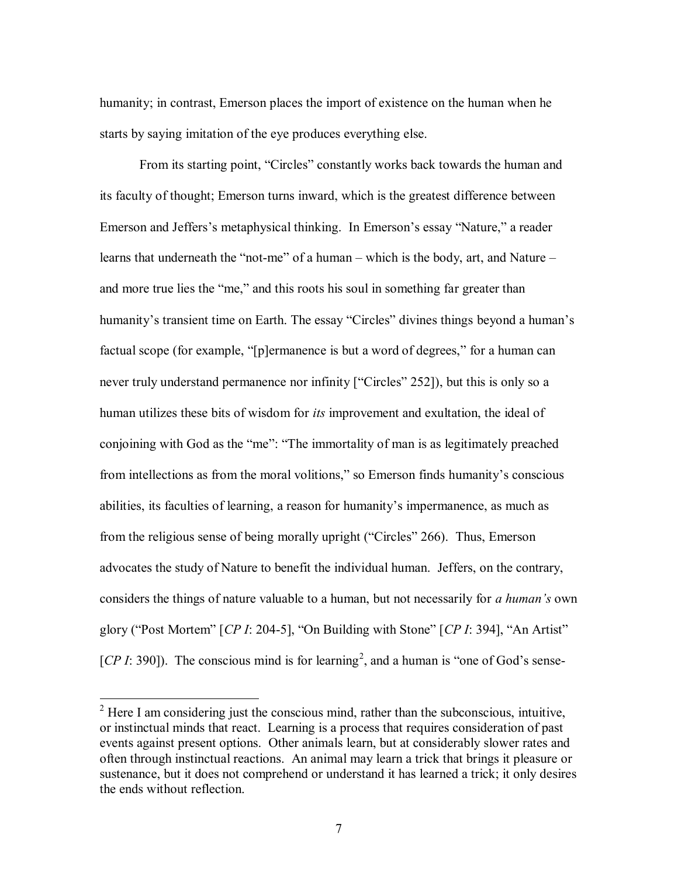humanity; in contrast, Emerson places the import of existence on the human when he starts by saying imitation of the eye produces everything else.

From its starting point, "Circles" constantly works back towards the human and its faculty of thought; Emerson turns inward, which is the greatest difference between Emerson and Jeffers's metaphysical thinking. In Emerson's essay "Nature," a reader learns that underneath the "not-me" of a human – which is the body, art, and Nature – and more true lies the "me," and this roots his soul in something far greater than humanity's transient time on Earth. The essay "Circles" divines things beyond a human's factual scope (for example, "[p]ermanence is but a word of degrees," for a human can never truly understand permanence nor infinity ["Circles" 252]), but this is only so a human utilizes these bits of wisdom for *its* improvement and exultation, the ideal of conjoining with God as the "me": "The immortality of man is as legitimately preached from intellections as from the moral volitions," so Emerson finds humanity"s conscious abilities, its faculties of learning, a reason for humanity"s impermanence, as much as from the religious sense of being morally upright ("Circles" 266). Thus, Emerson advocates the study of Nature to benefit the individual human. Jeffers, on the contrary, considers the things of nature valuable to a human, but not necessarily for *a human's* own glory ("Post Mortem" [*CP I*: 204-5], "On Building with Stone" [*CP I*: 394], "An Artist" [ $CP I: 390$ ]). The conscious mind is for learning<sup>2</sup>, and a human is "one of God's sense-

 $2^2$  Here I am considering just the conscious mind, rather than the subconscious, intuitive, or instinctual minds that react. Learning is a process that requires consideration of past events against present options. Other animals learn, but at considerably slower rates and often through instinctual reactions. An animal may learn a trick that brings it pleasure or sustenance, but it does not comprehend or understand it has learned a trick; it only desires the ends without reflection.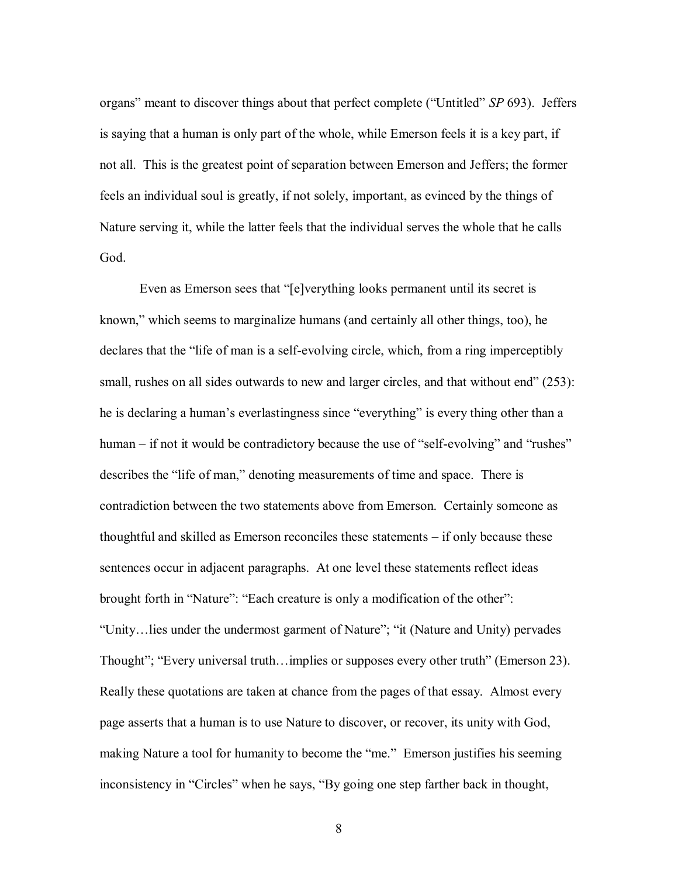organs" meant to discover things about that perfect complete ("Untitled" *SP* 693). Jeffers is saying that a human is only part of the whole, while Emerson feels it is a key part, if not all. This is the greatest point of separation between Emerson and Jeffers; the former feels an individual soul is greatly, if not solely, important, as evinced by the things of Nature serving it, while the latter feels that the individual serves the whole that he calls God.

Even as Emerson sees that "[e]verything looks permanent until its secret is known," which seems to marginalize humans (and certainly all other things, too), he declares that the "life of man is a self-evolving circle, which, from a ring imperceptibly small, rushes on all sides outwards to new and larger circles, and that without end" (253): he is declaring a human"s everlastingness since "everything" is every thing other than a human – if not it would be contradictory because the use of "self-evolving" and "rushes" describes the "life of man," denoting measurements of time and space. There is contradiction between the two statements above from Emerson. Certainly someone as thoughtful and skilled as Emerson reconciles these statements – if only because these sentences occur in adjacent paragraphs. At one level these statements reflect ideas brought forth in "Nature": "Each creature is only a modification of the other": "Unity…lies under the undermost garment of Nature"; "it (Nature and Unity) pervades Thought"; "Every universal truth…implies or supposes every other truth" (Emerson 23). Really these quotations are taken at chance from the pages of that essay. Almost every page asserts that a human is to use Nature to discover, or recover, its unity with God, making Nature a tool for humanity to become the "me." Emerson justifies his seeming inconsistency in "Circles" when he says, "By going one step farther back in thought,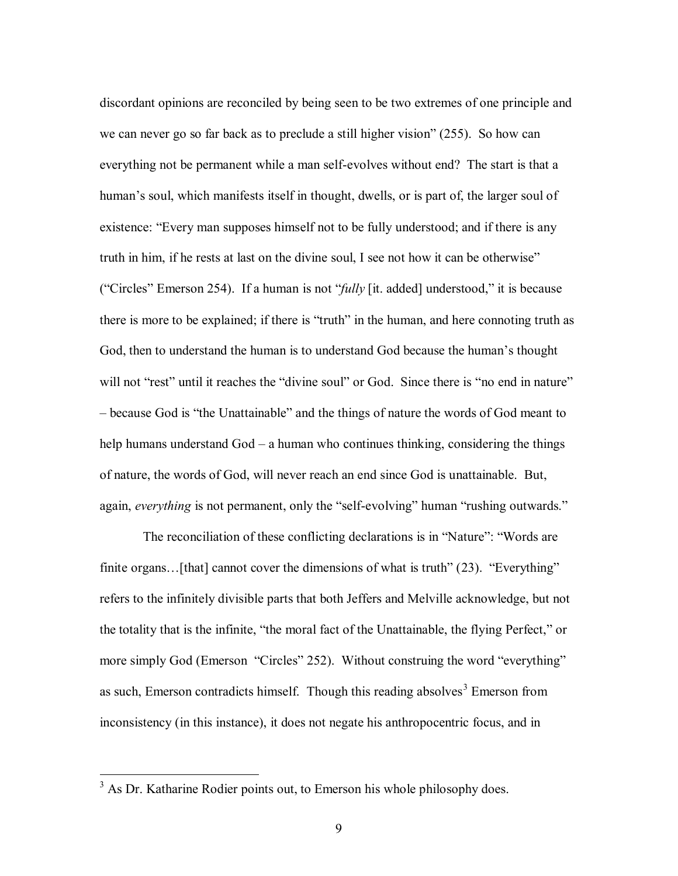discordant opinions are reconciled by being seen to be two extremes of one principle and we can never go so far back as to preclude a still higher vision" (255). So how can everything not be permanent while a man self-evolves without end? The start is that a human's soul, which manifests itself in thought, dwells, or is part of, the larger soul of existence: "Every man supposes himself not to be fully understood; and if there is any truth in him, if he rests at last on the divine soul, I see not how it can be otherwise" ("Circles" Emerson 254). If a human is not "*fully* [it. added] understood," it is because there is more to be explained; if there is "truth" in the human, and here connoting truth as God, then to understand the human is to understand God because the human's thought will not "rest" until it reaches the "divine soul" or God. Since there is "no end in nature" – because God is "the Unattainable" and the things of nature the words of God meant to help humans understand God – a human who continues thinking, considering the things of nature, the words of God, will never reach an end since God is unattainable. But, again, *everything* is not permanent, only the "self-evolving" human "rushing outwards."

The reconciliation of these conflicting declarations is in "Nature": "Words are finite organs... [that] cannot cover the dimensions of what is truth" (23). "Everything" refers to the infinitely divisible parts that both Jeffers and Melville acknowledge, but not the totality that is the infinite, "the moral fact of the Unattainable, the flying Perfect," or more simply God (Emerson "Circles" 252). Without construing the word "everything" as such, Emerson contradicts himself. Though this reading absolves<sup>3</sup> Emerson from inconsistency (in this instance), it does not negate his anthropocentric focus, and in

 $3$  As Dr. Katharine Rodier points out, to Emerson his whole philosophy does.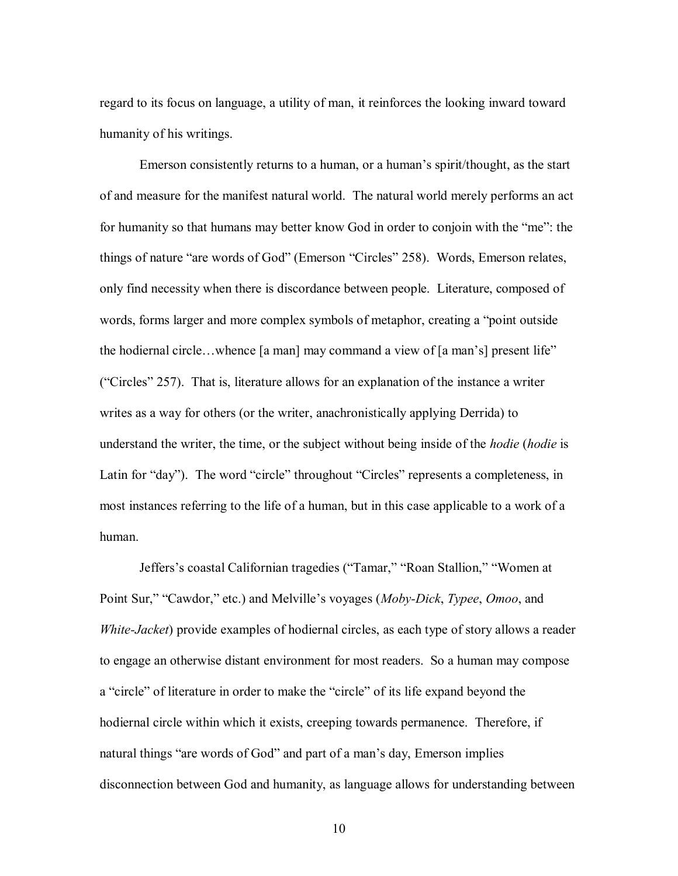regard to its focus on language, a utility of man, it reinforces the looking inward toward humanity of his writings.

Emerson consistently returns to a human, or a human"s spirit/thought, as the start of and measure for the manifest natural world. The natural world merely performs an act for humanity so that humans may better know God in order to conjoin with the "me": the things of nature "are words of God" (Emerson "Circles" 258). Words, Emerson relates, only find necessity when there is discordance between people. Literature, composed of words, forms larger and more complex symbols of metaphor, creating a "point outside the hodiernal circle…whence [a man] may command a view of [a man"s] present life" ("Circles" 257). That is, literature allows for an explanation of the instance a writer writes as a way for others (or the writer, anachronistically applying Derrida) to understand the writer, the time, or the subject without being inside of the *hodie* (*hodie* is Latin for "day"). The word "circle" throughout "Circles" represents a completeness, in most instances referring to the life of a human, but in this case applicable to a work of a human.

Jeffers"s coastal Californian tragedies ("Tamar," "Roan Stallion," "Women at Point Sur," "Cawdor," etc.) and Melville"s voyages (*Moby-Dick*, *Typee*, *Omoo*, and *White-Jacket*) provide examples of hodiernal circles, as each type of story allows a reader to engage an otherwise distant environment for most readers. So a human may compose a "circle" of literature in order to make the "circle" of its life expand beyond the hodiernal circle within which it exists, creeping towards permanence. Therefore, if natural things "are words of God" and part of a man's day, Emerson implies disconnection between God and humanity, as language allows for understanding between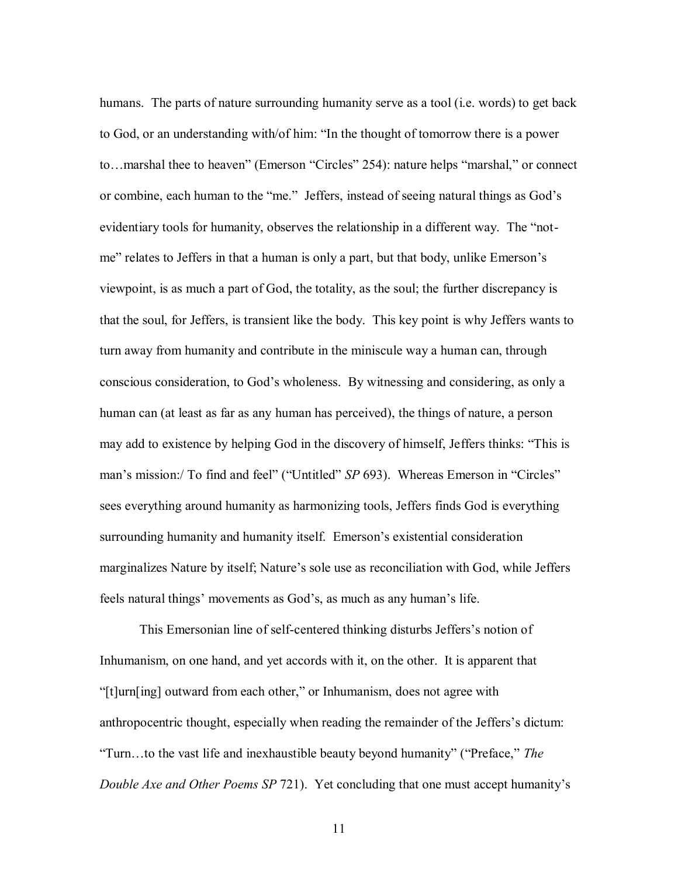humans. The parts of nature surrounding humanity serve as a tool (i.e. words) to get back to God, or an understanding with/of him: "In the thought of tomorrow there is a power to…marshal thee to heaven" (Emerson "Circles" 254): nature helps "marshal," or connect or combine, each human to the "me." Jeffers, instead of seeing natural things as God"s evidentiary tools for humanity, observes the relationship in a different way. The "notme" relates to Jeffers in that a human is only a part, but that body, unlike Emerson"s viewpoint, is as much a part of God, the totality, as the soul; the further discrepancy is that the soul, for Jeffers, is transient like the body. This key point is why Jeffers wants to turn away from humanity and contribute in the miniscule way a human can, through conscious consideration, to God"s wholeness. By witnessing and considering, as only a human can (at least as far as any human has perceived), the things of nature, a person may add to existence by helping God in the discovery of himself, Jeffers thinks: "This is man's mission:/ To find and feel" ("Untitled" *SP* 693). Whereas Emerson in "Circles" sees everything around humanity as harmonizing tools, Jeffers finds God is everything surrounding humanity and humanity itself. Emerson's existential consideration marginalizes Nature by itself; Nature's sole use as reconciliation with God, while Jeffers feels natural things' movements as God's, as much as any human's life.

This Emersonian line of self-centered thinking disturbs Jeffers"s notion of Inhumanism, on one hand, and yet accords with it, on the other. It is apparent that "[t]urn[ing] outward from each other," or Inhumanism, does not agree with anthropocentric thought, especially when reading the remainder of the Jeffers"s dictum: "Turn…to the vast life and inexhaustible beauty beyond humanity" ("Preface," *The Double Axe and Other Poems SP 721*). Yet concluding that one must accept humanity's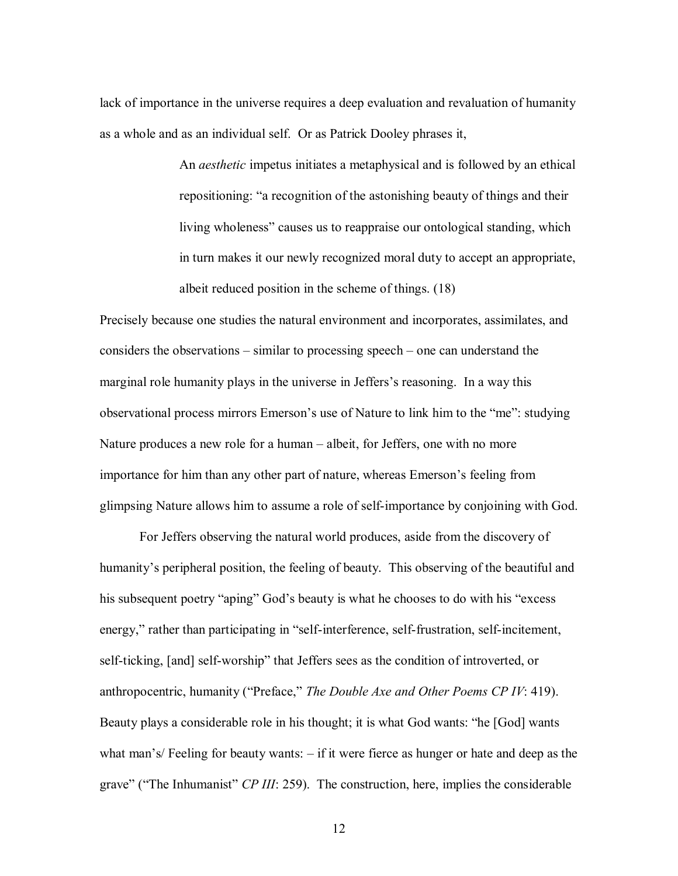lack of importance in the universe requires a deep evaluation and revaluation of humanity as a whole and as an individual self. Or as Patrick Dooley phrases it,

> An *aesthetic* impetus initiates a metaphysical and is followed by an ethical repositioning: "a recognition of the astonishing beauty of things and their living wholeness" causes us to reappraise our ontological standing, which in turn makes it our newly recognized moral duty to accept an appropriate, albeit reduced position in the scheme of things. (18)

Precisely because one studies the natural environment and incorporates, assimilates, and considers the observations – similar to processing speech – one can understand the marginal role humanity plays in the universe in Jeffers's reasoning. In a way this observational process mirrors Emerson"s use of Nature to link him to the "me": studying Nature produces a new role for a human – albeit, for Jeffers, one with no more importance for him than any other part of nature, whereas Emerson"s feeling from glimpsing Nature allows him to assume a role of self-importance by conjoining with God.

For Jeffers observing the natural world produces, aside from the discovery of humanity's peripheral position, the feeling of beauty. This observing of the beautiful and his subsequent poetry "aping" God's beauty is what he chooses to do with his "excess" energy," rather than participating in "self-interference, self-frustration, self-incitement, self-ticking, [and] self-worship" that Jeffers sees as the condition of introverted, or anthropocentric, humanity ("Preface," *The Double Axe and Other Poems CP IV*: 419). Beauty plays a considerable role in his thought; it is what God wants: "he [God] wants what man"s/ Feeling for beauty wants: – if it were fierce as hunger or hate and deep as the grave" ("The Inhumanist" *CP III*: 259). The construction, here, implies the considerable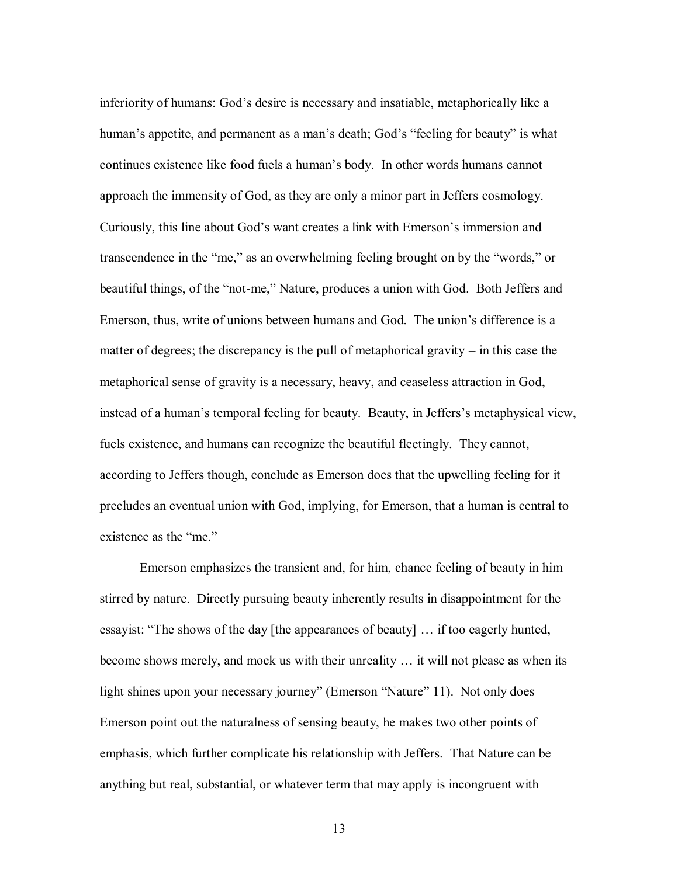inferiority of humans: God"s desire is necessary and insatiable, metaphorically like a human's appetite, and permanent as a man's death; God's "feeling for beauty" is what continues existence like food fuels a human"s body. In other words humans cannot approach the immensity of God, as they are only a minor part in Jeffers cosmology. Curiously, this line about God"s want creates a link with Emerson"s immersion and transcendence in the "me," as an overwhelming feeling brought on by the "words," or beautiful things, of the "not-me," Nature, produces a union with God. Both Jeffers and Emerson, thus, write of unions between humans and God. The union"s difference is a matter of degrees; the discrepancy is the pull of metaphorical gravity – in this case the metaphorical sense of gravity is a necessary, heavy, and ceaseless attraction in God, instead of a human's temporal feeling for beauty. Beauty, in Jeffers's metaphysical view, fuels existence, and humans can recognize the beautiful fleetingly. They cannot, according to Jeffers though, conclude as Emerson does that the upwelling feeling for it precludes an eventual union with God, implying, for Emerson, that a human is central to existence as the "me."

Emerson emphasizes the transient and, for him, chance feeling of beauty in him stirred by nature. Directly pursuing beauty inherently results in disappointment for the essayist: "The shows of the day [the appearances of beauty] … if too eagerly hunted, become shows merely, and mock us with their unreality … it will not please as when its light shines upon your necessary journey" (Emerson "Nature" 11). Not only does Emerson point out the naturalness of sensing beauty, he makes two other points of emphasis, which further complicate his relationship with Jeffers. That Nature can be anything but real, substantial, or whatever term that may apply is incongruent with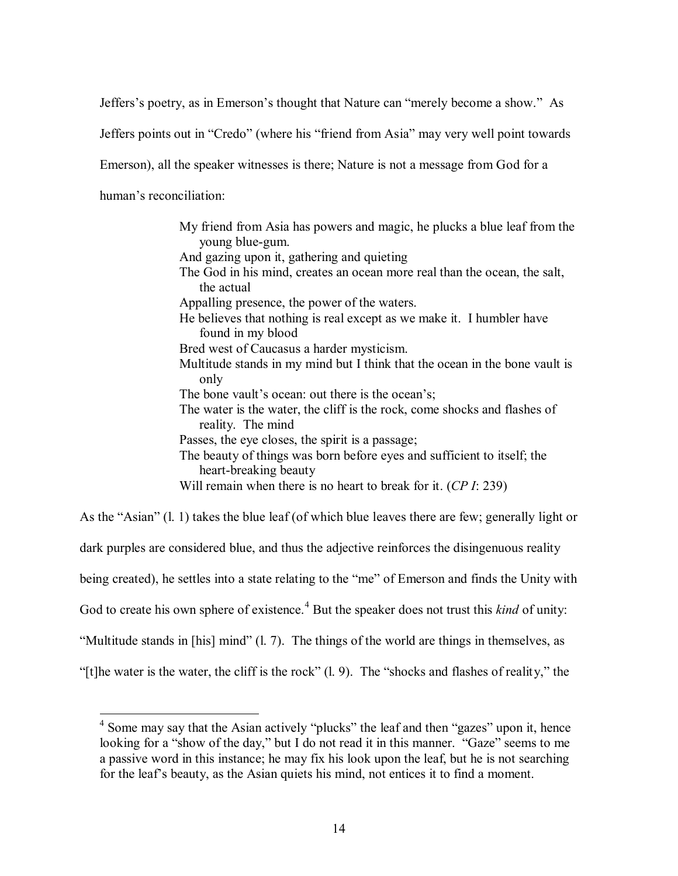Jeffers"s poetry, as in Emerson"s thought that Nature can "merely become a show." As

Jeffers points out in "Credo" (where his "friend from Asia" may very well point towards

Emerson), all the speaker witnesses is there; Nature is not a message from God for a

human's reconciliation:

My friend from Asia has powers and magic, he plucks a blue leaf from the young blue-gum. And gazing upon it, gathering and quieting The God in his mind, creates an ocean more real than the ocean, the salt, the actual Appalling presence, the power of the waters. He believes that nothing is real except as we make it. I humbler have found in my blood Bred west of Caucasus a harder mysticism. Multitude stands in my mind but I think that the ocean in the bone vault is only The bone vault's ocean: out there is the ocean's; The water is the water, the cliff is the rock, come shocks and flashes of reality. The mind Passes, the eye closes, the spirit is a passage; The beauty of things was born before eyes and sufficient to itself; the heart-breaking beauty Will remain when there is no heart to break for it. (*CP I*: 239)

As the "Asian" (l. 1) takes the blue leaf (of which blue leaves there are few; generally light or dark purples are considered blue, and thus the adjective reinforces the disingenuous reality being created), he settles into a state relating to the "me" of Emerson and finds the Unity with God to create his own sphere of existence.<sup>4</sup> But the speaker does not trust this *kind* of unity: "Multitude stands in [his] mind" (l. 7). The things of the world are things in themselves, as "[t]he water is the water, the cliff is the rock" (l. 9). The "shocks and flashes of reality," the

<sup>&</sup>lt;sup>4</sup> Some may say that the Asian actively "plucks" the leaf and then "gazes" upon it, hence looking for a "show of the day," but I do not read it in this manner. "Gaze" seems to me a passive word in this instance; he may fix his look upon the leaf, but he is not searching for the leaf"s beauty, as the Asian quiets his mind, not entices it to find a moment.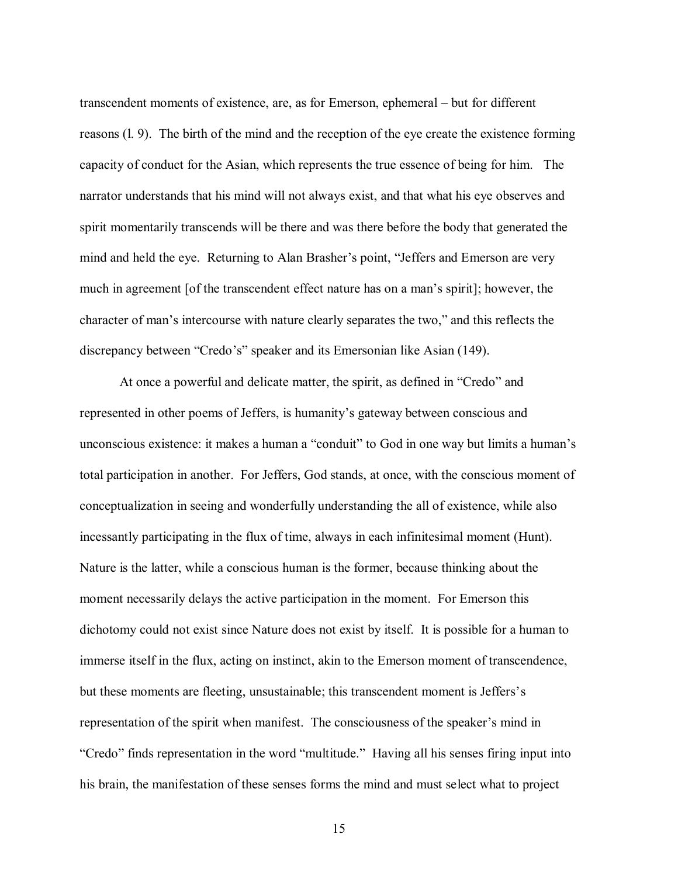transcendent moments of existence, are, as for Emerson, ephemeral – but for different reasons (l. 9). The birth of the mind and the reception of the eye create the existence forming capacity of conduct for the Asian, which represents the true essence of being for him. The narrator understands that his mind will not always exist, and that what his eye observes and spirit momentarily transcends will be there and was there before the body that generated the mind and held the eye. Returning to Alan Brasher's point, "Jeffers and Emerson are very much in agreement [of the transcendent effect nature has on a man"s spirit]; however, the character of man"s intercourse with nature clearly separates the two," and this reflects the discrepancy between "Credo's" speaker and its Emersonian like Asian (149).

At once a powerful and delicate matter, the spirit, as defined in "Credo" and represented in other poems of Jeffers, is humanity"s gateway between conscious and unconscious existence: it makes a human a "conduit" to God in one way but limits a human"s total participation in another. For Jeffers, God stands, at once, with the conscious moment of conceptualization in seeing and wonderfully understanding the all of existence, while also incessantly participating in the flux of time, always in each infinitesimal moment (Hunt). Nature is the latter, while a conscious human is the former, because thinking about the moment necessarily delays the active participation in the moment. For Emerson this dichotomy could not exist since Nature does not exist by itself. It is possible for a human to immerse itself in the flux, acting on instinct, akin to the Emerson moment of transcendence, but these moments are fleeting, unsustainable; this transcendent moment is Jeffers"s representation of the spirit when manifest. The consciousness of the speaker"s mind in "Credo" finds representation in the word "multitude." Having all his senses firing input into his brain, the manifestation of these senses forms the mind and must select what to project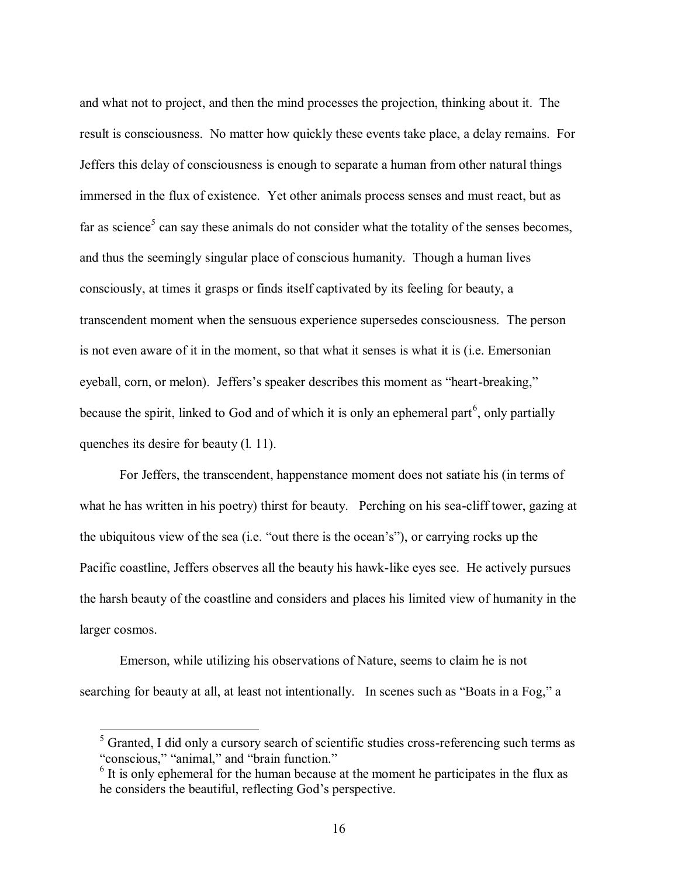and what not to project, and then the mind processes the projection, thinking about it. The result is consciousness. No matter how quickly these events take place, a delay remains. For Jeffers this delay of consciousness is enough to separate a human from other natural things immersed in the flux of existence. Yet other animals process senses and must react, but as far as science<sup>5</sup> can say these animals do not consider what the totality of the senses becomes, and thus the seemingly singular place of conscious humanity. Though a human lives consciously, at times it grasps or finds itself captivated by its feeling for beauty, a transcendent moment when the sensuous experience supersedes consciousness. The person is not even aware of it in the moment, so that what it senses is what it is (i.e. Emersonian eyeball, corn, or melon). Jeffers's speaker describes this moment as "heart-breaking," because the spirit, linked to God and of which it is only an ephemeral part<sup>6</sup>, only partially quenches its desire for beauty (l. 11).

For Jeffers, the transcendent, happenstance moment does not satiate his (in terms of what he has written in his poetry) thirst for beauty. Perching on his sea-cliff tower, gazing at the ubiquitous view of the sea (i.e. "out there is the ocean"s"), or carrying rocks up the Pacific coastline, Jeffers observes all the beauty his hawk-like eyes see. He actively pursues the harsh beauty of the coastline and considers and places his limited view of humanity in the larger cosmos.

Emerson, while utilizing his observations of Nature, seems to claim he is not searching for beauty at all, at least not intentionally. In scenes such as "Boats in a Fog," a

 $<sup>5</sup>$  Granted, I did only a cursory search of scientific studies cross-referencing such terms as</sup> "conscious," "animal," and "brain function."

 $<sup>6</sup>$  It is only ephemeral for the human because at the moment he participates in the flux as</sup> he considers the beautiful, reflecting God"s perspective.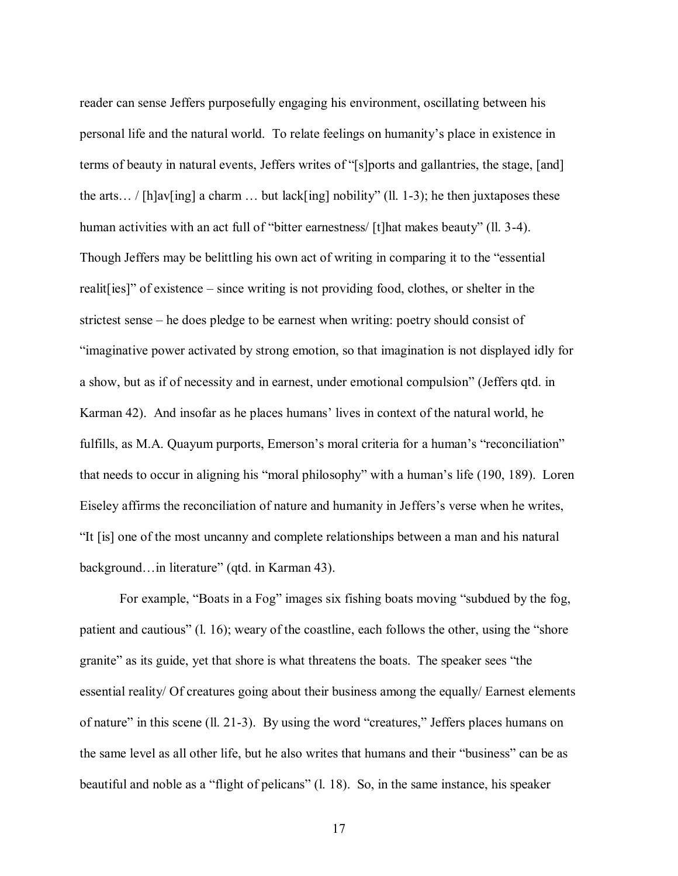reader can sense Jeffers purposefully engaging his environment, oscillating between his personal life and the natural world. To relate feelings on humanity"s place in existence in terms of beauty in natural events, Jeffers writes of "[s]ports and gallantries, the stage, [and] the arts... / [h]av[ing] a charm ... but lack[ing] nobility" (ll. 1-3); he then juxtaposes these human activities with an act full of "bitter earnestness/ [t]hat makes beauty" (ll. 3-4). Though Jeffers may be belittling his own act of writing in comparing it to the "essential realit[ies]" of existence – since writing is not providing food, clothes, or shelter in the strictest sense – he does pledge to be earnest when writing: poetry should consist of "imaginative power activated by strong emotion, so that imagination is not displayed idly for a show, but as if of necessity and in earnest, under emotional compulsion" (Jeffers qtd. in Karman 42). And insofar as he places humans" lives in context of the natural world, he fulfills, as M.A. Quayum purports, Emerson's moral criteria for a human's "reconciliation" that needs to occur in aligning his "moral philosophy" with a human"s life (190, 189). Loren Eiseley affirms the reconciliation of nature and humanity in Jeffers"s verse when he writes, "It [is] one of the most uncanny and complete relationships between a man and his natural background…in literature" (qtd. in Karman 43).

For example, "Boats in a Fog" images six fishing boats moving "subdued by the fog, patient and cautious" (l. 16); weary of the coastline, each follows the other, using the "shore granite" as its guide, yet that shore is what threatens the boats. The speaker sees "the essential reality/ Of creatures going about their business among the equally/ Earnest elements of nature" in this scene (ll. 21-3). By using the word "creatures," Jeffers places humans on the same level as all other life, but he also writes that humans and their "business" can be as beautiful and noble as a "flight of pelicans" (l. 18). So, in the same instance, his speaker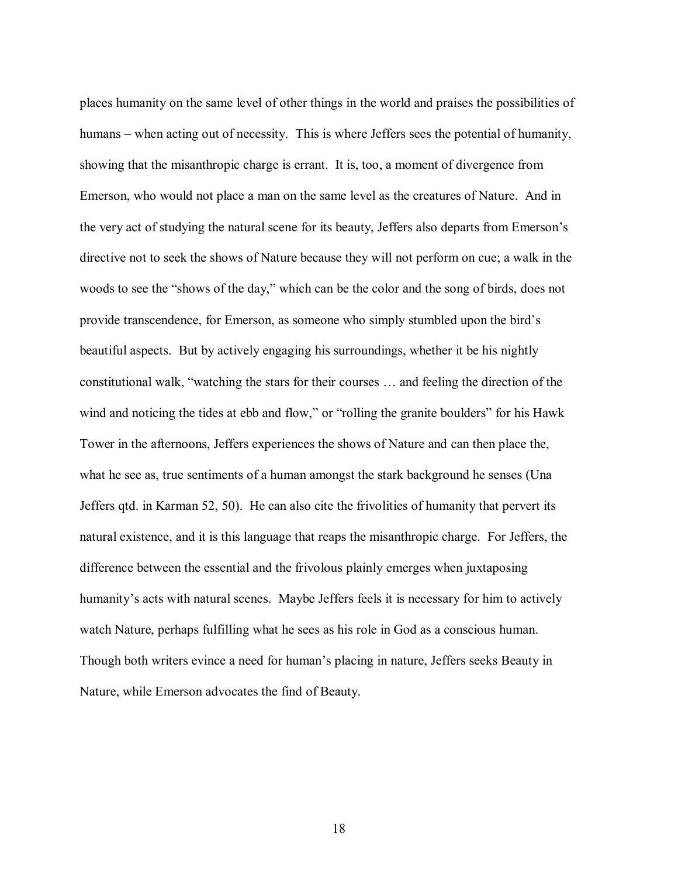places humanity on the same level of other things in the world and praises the possibilities of humans – when acting out of necessity. This is where Jeffers sees the potential of humanity, showing that the misanthropic charge is errant. It is, too, a moment of divergence from Emerson, who would not place a man on the same level as the creatures of Nature. And in the very act of studying the natural scene for its beauty, Jeffers also departs from Emerson"s directive not to seek the shows of Nature because they will not perform on cue; a walk in the woods to see the "shows of the day," which can be the color and the song of birds, does not provide transcendence, for Emerson, as someone who simply stumbled upon the bird"s beautiful aspects. But by actively engaging his surroundings, whether it be his nightly constitutional walk, "watching the stars for their courses … and feeling the direction of the wind and noticing the tides at ebb and flow," or "rolling the granite boulders" for his Hawk Tower in the afternoons, Jeffers experiences the shows of Nature and can then place the, what he see as, true sentiments of a human amongst the stark background he senses (Una Jeffers qtd. in Karman 52, 50). He can also cite the frivolities of humanity that pervert its natural existence, and it is this language that reaps the misanthropic charge. For Jeffers, the difference between the essential and the frivolous plainly emerges when juxtaposing humanity's acts with natural scenes. Maybe Jeffers feels it is necessary for him to actively watch Nature, perhaps fulfilling what he sees as his role in God as a conscious human. Though both writers evince a need for human"s placing in nature, Jeffers seeks Beauty in Nature, while Emerson advocates the find of Beauty.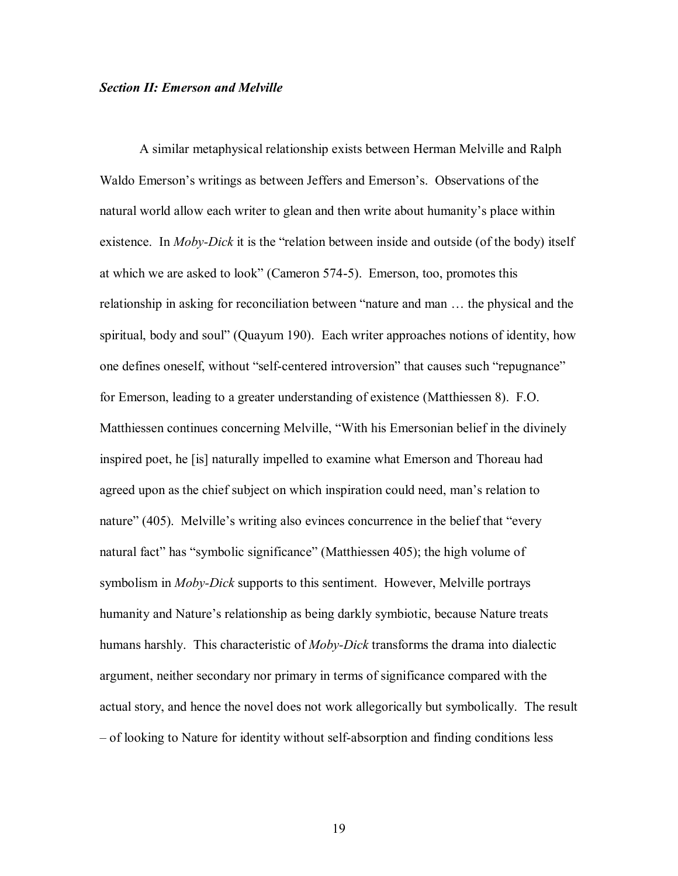#### *Section II: Emerson and Melville*

A similar metaphysical relationship exists between Herman Melville and Ralph Waldo Emerson"s writings as between Jeffers and Emerson"s. Observations of the natural world allow each writer to glean and then write about humanity"s place within existence. In *Moby-Dick* it is the "relation between inside and outside (of the body) itself at which we are asked to look" (Cameron 574-5). Emerson, too, promotes this relationship in asking for reconciliation between "nature and man … the physical and the spiritual, body and soul" (Quayum 190). Each writer approaches notions of identity, how one defines oneself, without "self-centered introversion" that causes such "repugnance" for Emerson, leading to a greater understanding of existence (Matthiessen 8). F.O. Matthiessen continues concerning Melville, "With his Emersonian belief in the divinely inspired poet, he [is] naturally impelled to examine what Emerson and Thoreau had agreed upon as the chief subject on which inspiration could need, man"s relation to nature" (405). Melville's writing also evinces concurrence in the belief that "every natural fact" has "symbolic significance" (Matthiessen 405); the high volume of symbolism in *Moby-Dick* supports to this sentiment. However, Melville portrays humanity and Nature's relationship as being darkly symbiotic, because Nature treats humans harshly. This characteristic of *Moby-Dick* transforms the drama into dialectic argument, neither secondary nor primary in terms of significance compared with the actual story, and hence the novel does not work allegorically but symbolically. The result – of looking to Nature for identity without self-absorption and finding conditions less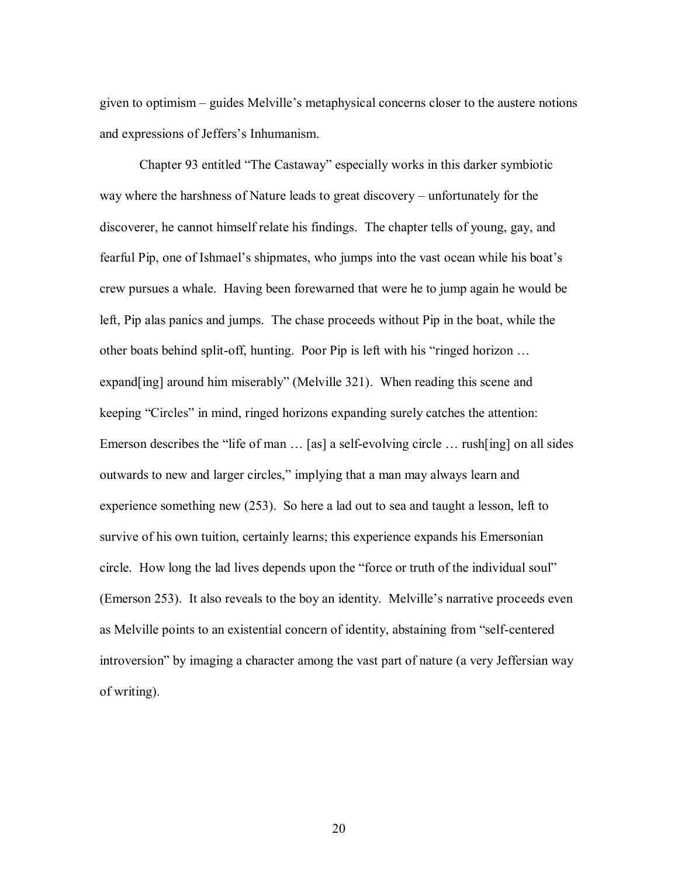given to optimism – guides Melville"s metaphysical concerns closer to the austere notions and expressions of Jeffers"s Inhumanism.

Chapter 93 entitled "The Castaway" especially works in this darker symbiotic way where the harshness of Nature leads to great discovery – unfortunately for the discoverer, he cannot himself relate his findings. The chapter tells of young, gay, and fearful Pip, one of Ishmael's shipmates, who jumps into the vast ocean while his boat's crew pursues a whale. Having been forewarned that were he to jump again he would be left, Pip alas panics and jumps. The chase proceeds without Pip in the boat, while the other boats behind split-off, hunting. Poor Pip is left with his "ringed horizon … expand[ing] around him miserably" (Melville 321). When reading this scene and keeping "Circles" in mind, ringed horizons expanding surely catches the attention: Emerson describes the "life of man ... [as] a self-evolving circle ... rush[ing] on all sides outwards to new and larger circles," implying that a man may always learn and experience something new (253). So here a lad out to sea and taught a lesson, left to survive of his own tuition, certainly learns; this experience expands his Emersonian circle. How long the lad lives depends upon the "force or truth of the individual soul" (Emerson 253). It also reveals to the boy an identity. Melville"s narrative proceeds even as Melville points to an existential concern of identity, abstaining from "self-centered introversion" by imaging a character among the vast part of nature (a very Jeffersian way of writing).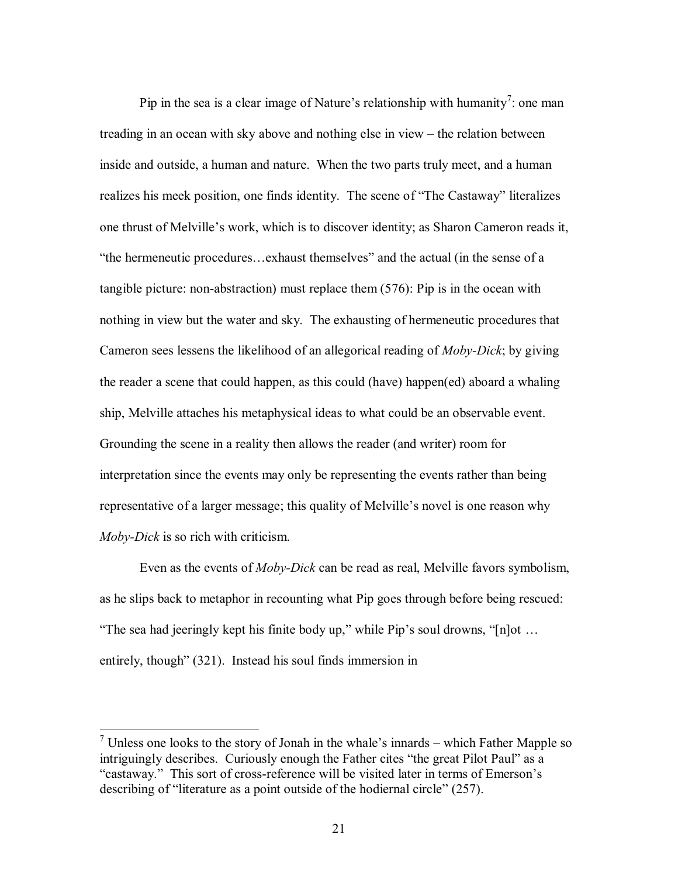Pip in the sea is a clear image of Nature's relationship with humanity<sup>7</sup>: one man treading in an ocean with sky above and nothing else in view – the relation between inside and outside, a human and nature. When the two parts truly meet, and a human realizes his meek position, one finds identity. The scene of "The Castaway" literalizes one thrust of Melville"s work, which is to discover identity; as Sharon Cameron reads it, "the hermeneutic procedures…exhaust themselves" and the actual (in the sense of a tangible picture: non-abstraction) must replace them (576): Pip is in the ocean with nothing in view but the water and sky. The exhausting of hermeneutic procedures that Cameron sees lessens the likelihood of an allegorical reading of *Moby-Dick*; by giving the reader a scene that could happen, as this could (have) happen(ed) aboard a whaling ship, Melville attaches his metaphysical ideas to what could be an observable event. Grounding the scene in a reality then allows the reader (and writer) room for interpretation since the events may only be representing the events rather than being representative of a larger message; this quality of Melville"s novel is one reason why *Moby-Dick* is so rich with criticism.

Even as the events of *Moby-Dick* can be read as real, Melville favors symbolism, as he slips back to metaphor in recounting what Pip goes through before being rescued: "The sea had jeeringly kept his finite body up," while Pip"s soul drowns, "[n]ot … entirely, though" (321). Instead his soul finds immersion in

<sup>&</sup>lt;sup>7</sup> Unless one looks to the story of Jonah in the whale's innards – which Father Mapple so intriguingly describes. Curiously enough the Father cites "the great Pilot Paul" as a "castaway." This sort of cross-reference will be visited later in terms of Emerson"s describing of "literature as a point outside of the hodiernal circle" (257).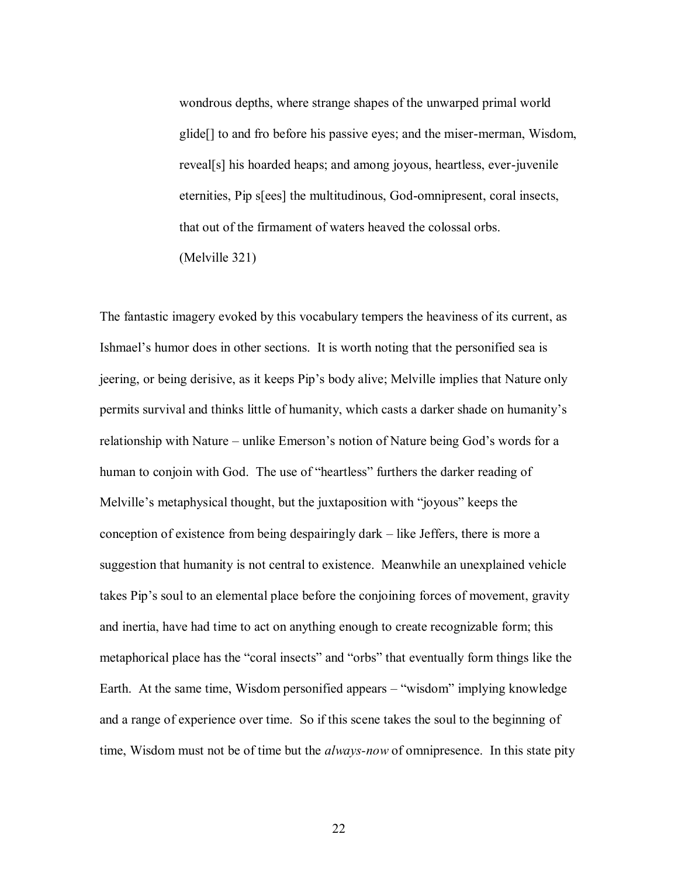wondrous depths, where strange shapes of the unwarped primal world glide[] to and fro before his passive eyes; and the miser-merman, Wisdom, reveal[s] his hoarded heaps; and among joyous, heartless, ever-juvenile eternities, Pip s[ees] the multitudinous, God-omnipresent, coral insects, that out of the firmament of waters heaved the colossal orbs. (Melville 321)

The fantastic imagery evoked by this vocabulary tempers the heaviness of its current, as Ishmael"s humor does in other sections. It is worth noting that the personified sea is jeering, or being derisive, as it keeps Pip"s body alive; Melville implies that Nature only permits survival and thinks little of humanity, which casts a darker shade on humanity"s relationship with Nature – unlike Emerson"s notion of Nature being God"s words for a human to conjoin with God. The use of "heartless" furthers the darker reading of Melville"s metaphysical thought, but the juxtaposition with "joyous" keeps the conception of existence from being despairingly dark – like Jeffers, there is more a suggestion that humanity is not central to existence. Meanwhile an unexplained vehicle takes Pip's soul to an elemental place before the conjoining forces of movement, gravity and inertia, have had time to act on anything enough to create recognizable form; this metaphorical place has the "coral insects" and "orbs" that eventually form things like the Earth. At the same time, Wisdom personified appears – "wisdom" implying knowledge and a range of experience over time. So if this scene takes the soul to the beginning of time, Wisdom must not be of time but the *always-now* of omnipresence. In this state pity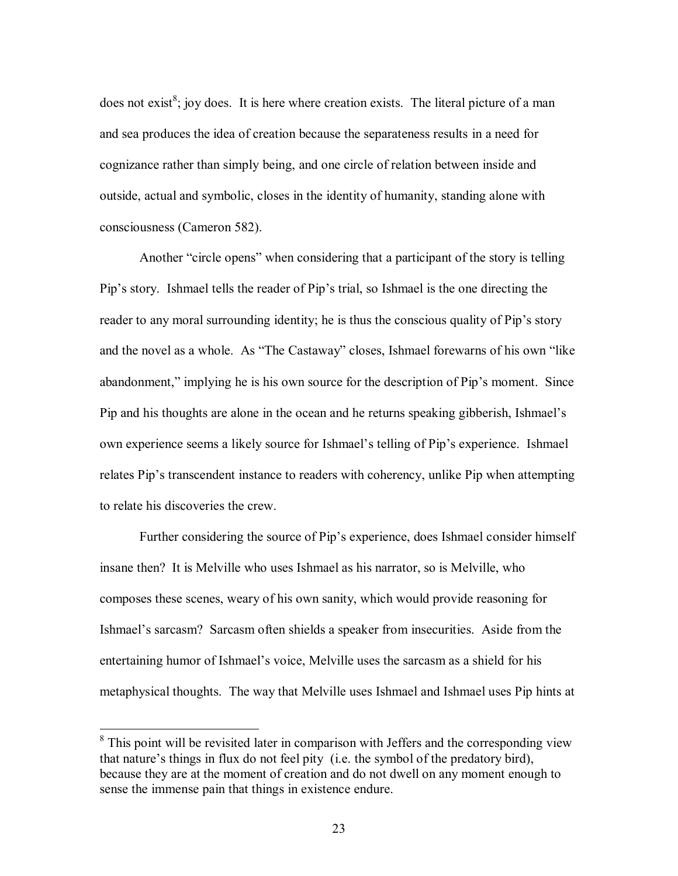does not exist<sup>8</sup>; joy does. It is here where creation exists. The literal picture of a man and sea produces the idea of creation because the separateness results in a need for cognizance rather than simply being, and one circle of relation between inside and outside, actual and symbolic, closes in the identity of humanity, standing alone with consciousness (Cameron 582).

Another "circle opens" when considering that a participant of the story is telling Pip"s story. Ishmael tells the reader of Pip"s trial, so Ishmael is the one directing the reader to any moral surrounding identity; he is thus the conscious quality of Pip"s story and the novel as a whole. As "The Castaway" closes, Ishmael forewarns of his own "like abandonment," implying he is his own source for the description of Pip"s moment. Since Pip and his thoughts are alone in the ocean and he returns speaking gibberish, Ishmael"s own experience seems a likely source for Ishmael"s telling of Pip"s experience. Ishmael relates Pip"s transcendent instance to readers with coherency, unlike Pip when attempting to relate his discoveries the crew.

Further considering the source of Pip"s experience, does Ishmael consider himself insane then? It is Melville who uses Ishmael as his narrator, so is Melville, who composes these scenes, weary of his own sanity, which would provide reasoning for Ishmael"s sarcasm? Sarcasm often shields a speaker from insecurities. Aside from the entertaining humor of Ishmael"s voice, Melville uses the sarcasm as a shield for his metaphysical thoughts. The way that Melville uses Ishmael and Ishmael uses Pip hints at

<sup>&</sup>lt;sup>8</sup> This point will be revisited later in comparison with Jeffers and the corresponding view that nature"s things in flux do not feel pity (i.e. the symbol of the predatory bird), because they are at the moment of creation and do not dwell on any moment enough to sense the immense pain that things in existence endure.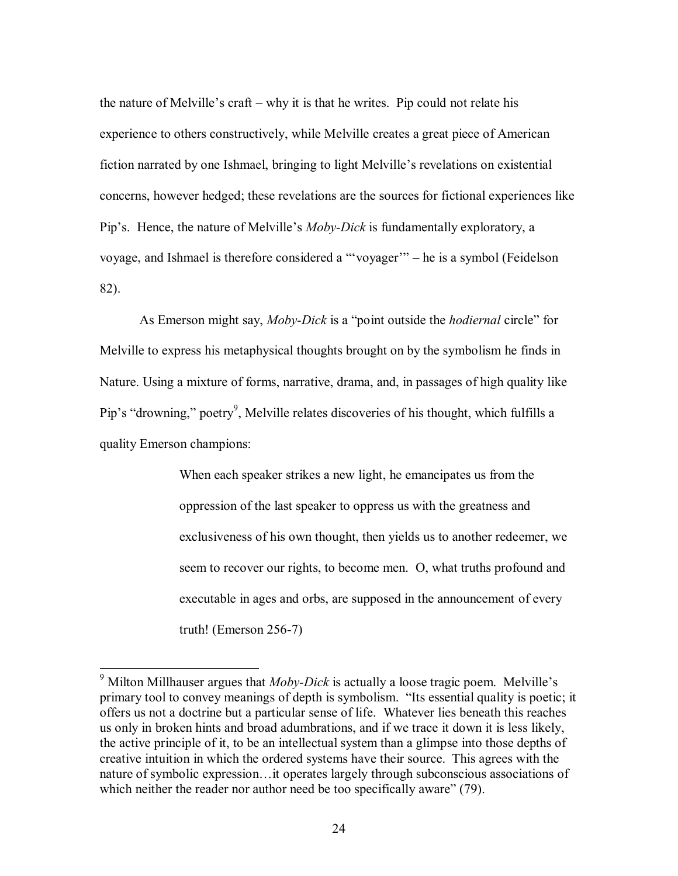the nature of Melville"s craft – why it is that he writes. Pip could not relate his experience to others constructively, while Melville creates a great piece of American fiction narrated by one Ishmael, bringing to light Melville"s revelations on existential concerns, however hedged; these revelations are the sources for fictional experiences like Pip"s. Hence, the nature of Melville"s *Moby-Dick* is fundamentally exploratory, a voyage, and Ishmael is therefore considered a ""voyager"" – he is a symbol (Feidelson 82).

As Emerson might say, *Moby-Dick* is a "point outside the *hodiernal* circle" for Melville to express his metaphysical thoughts brought on by the symbolism he finds in Nature. Using a mixture of forms, narrative, drama, and, in passages of high quality like Pip's "drowning," poetry<sup>9</sup>, Melville relates discoveries of his thought, which fulfills a quality Emerson champions:

> When each speaker strikes a new light, he emancipates us from the oppression of the last speaker to oppress us with the greatness and exclusiveness of his own thought, then yields us to another redeemer, we seem to recover our rights, to become men. O, what truths profound and executable in ages and orbs, are supposed in the announcement of every truth! (Emerson 256-7)

 $9$  Milton Millhauser argues that *Moby-Dick* is actually a loose tragic poem. Melville's primary tool to convey meanings of depth is symbolism. "Its essential quality is poetic; it offers us not a doctrine but a particular sense of life. Whatever lies beneath this reaches us only in broken hints and broad adumbrations, and if we trace it down it is less likely, the active principle of it, to be an intellectual system than a glimpse into those depths of creative intuition in which the ordered systems have their source. This agrees with the nature of symbolic expression…it operates largely through subconscious associations of which neither the reader nor author need be too specifically aware" (79).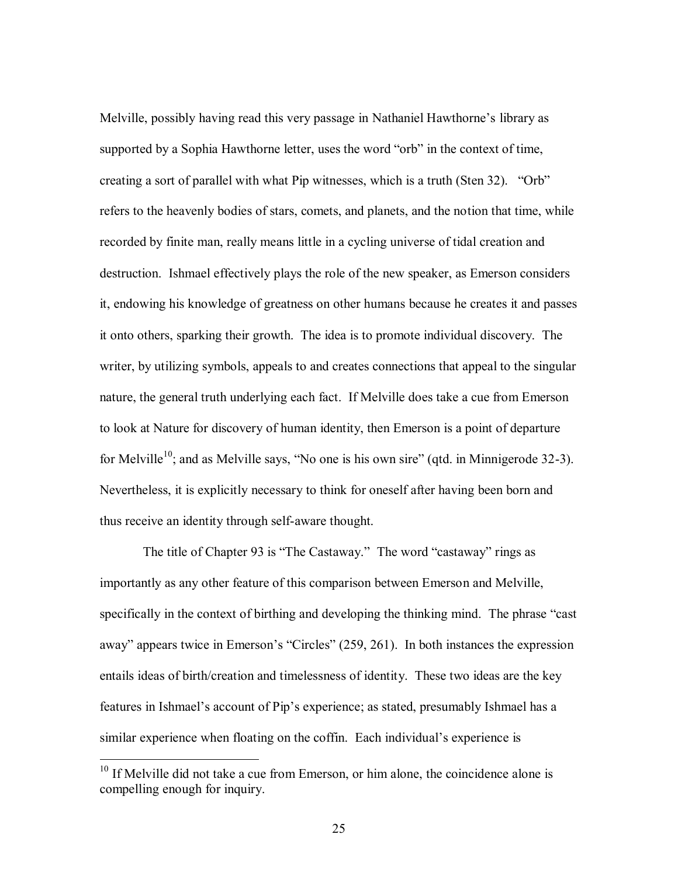Melville, possibly having read this very passage in Nathaniel Hawthorne"s library as supported by a Sophia Hawthorne letter, uses the word "orb" in the context of time, creating a sort of parallel with what Pip witnesses, which is a truth (Sten 32). "Orb" refers to the heavenly bodies of stars, comets, and planets, and the notion that time, while recorded by finite man, really means little in a cycling universe of tidal creation and destruction. Ishmael effectively plays the role of the new speaker, as Emerson considers it, endowing his knowledge of greatness on other humans because he creates it and passes it onto others, sparking their growth. The idea is to promote individual discovery. The writer, by utilizing symbols, appeals to and creates connections that appeal to the singular nature, the general truth underlying each fact. If Melville does take a cue from Emerson to look at Nature for discovery of human identity, then Emerson is a point of departure for Melville<sup>10</sup>; and as Melville says, "No one is his own sire" (qtd. in Minnigerode 32-3). Nevertheless, it is explicitly necessary to think for oneself after having been born and thus receive an identity through self-aware thought.

The title of Chapter 93 is "The Castaway." The word "castaway" rings as importantly as any other feature of this comparison between Emerson and Melville, specifically in the context of birthing and developing the thinking mind. The phrase "cast away" appears twice in Emerson's "Circles" (259, 261). In both instances the expression entails ideas of birth/creation and timelessness of identity. These two ideas are the key features in Ishmael's account of Pip's experience; as stated, presumably Ishmael has a similar experience when floating on the coffin. Each individual's experience is

 $10$  If Melville did not take a cue from Emerson, or him alone, the coincidence alone is compelling enough for inquiry.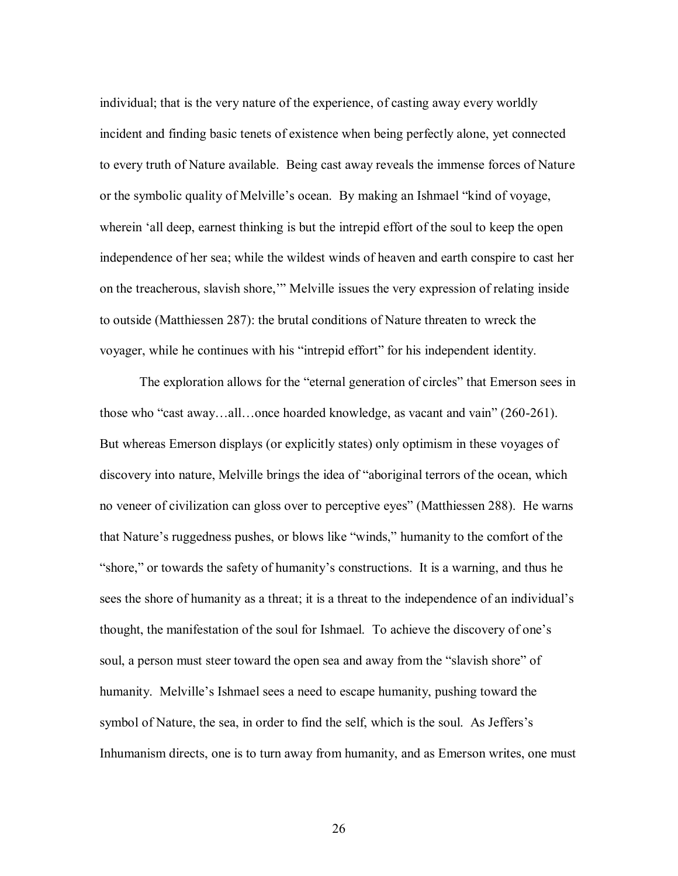individual; that is the very nature of the experience, of casting away every worldly incident and finding basic tenets of existence when being perfectly alone, yet connected to every truth of Nature available. Being cast away reveals the immense forces of Nature or the symbolic quality of Melville"s ocean. By making an Ishmael "kind of voyage, wherein "all deep, earnest thinking is but the intrepid effort of the soul to keep the open independence of her sea; while the wildest winds of heaven and earth conspire to cast her on the treacherous, slavish shore,"" Melville issues the very expression of relating inside to outside (Matthiessen 287): the brutal conditions of Nature threaten to wreck the voyager, while he continues with his "intrepid effort" for his independent identity.

The exploration allows for the "eternal generation of circles" that Emerson sees in those who "cast away…all…once hoarded knowledge, as vacant and vain" (260-261). But whereas Emerson displays (or explicitly states) only optimism in these voyages of discovery into nature, Melville brings the idea of "aboriginal terrors of the ocean, which no veneer of civilization can gloss over to perceptive eyes" (Matthiessen 288). He warns that Nature"s ruggedness pushes, or blows like "winds," humanity to the comfort of the "shore," or towards the safety of humanity"s constructions. It is a warning, and thus he sees the shore of humanity as a threat; it is a threat to the independence of an individual"s thought, the manifestation of the soul for Ishmael. To achieve the discovery of one"s soul, a person must steer toward the open sea and away from the "slavish shore" of humanity. Melville"s Ishmael sees a need to escape humanity, pushing toward the symbol of Nature, the sea, in order to find the self, which is the soul. As Jeffers's Inhumanism directs, one is to turn away from humanity, and as Emerson writes, one must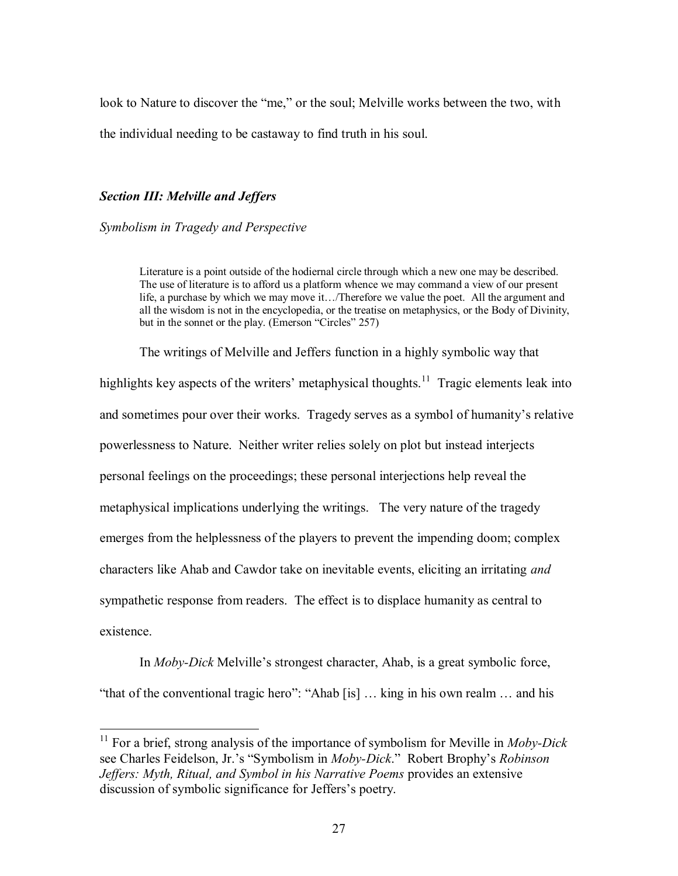look to Nature to discover the "me," or the soul; Melville works between the two, with the individual needing to be castaway to find truth in his soul.

## *Section III: Melville and Jeffers*

 $\overline{a}$ 

*Symbolism in Tragedy and Perspective* 

Literature is a point outside of the hodiernal circle through which a new one may be described. The use of literature is to afford us a platform whence we may command a view of our present life, a purchase by which we may move it…/Therefore we value the poet. All the argument and all the wisdom is not in the encyclopedia, or the treatise on metaphysics, or the Body of Divinity, but in the sonnet or the play. (Emerson "Circles" 257)

The writings of Melville and Jeffers function in a highly symbolic way that highlights key aspects of the writers' metaphysical thoughts.<sup>11</sup> Tragic elements leak into and sometimes pour over their works. Tragedy serves as a symbol of humanity's relative powerlessness to Nature. Neither writer relies solely on plot but instead interjects personal feelings on the proceedings; these personal interjections help reveal the metaphysical implications underlying the writings. The very nature of the tragedy emerges from the helplessness of the players to prevent the impending doom; complex characters like Ahab and Cawdor take on inevitable events, eliciting an irritating *and* sympathetic response from readers. The effect is to displace humanity as central to existence.

In *Moby-Dick* Melville"s strongest character, Ahab, is a great symbolic force, "that of the conventional tragic hero": "Ahab [is] … king in his own realm … and his

<sup>11</sup> For a brief, strong analysis of the importance of symbolism for Meville in *Moby-Dick* see Charles Feidelson, Jr."s "Symbolism in *Moby-Dick*." Robert Brophy"s *Robinson Jeffers: Myth, Ritual, and Symbol in his Narrative Poems* provides an extensive discussion of symbolic significance for Jeffers's poetry.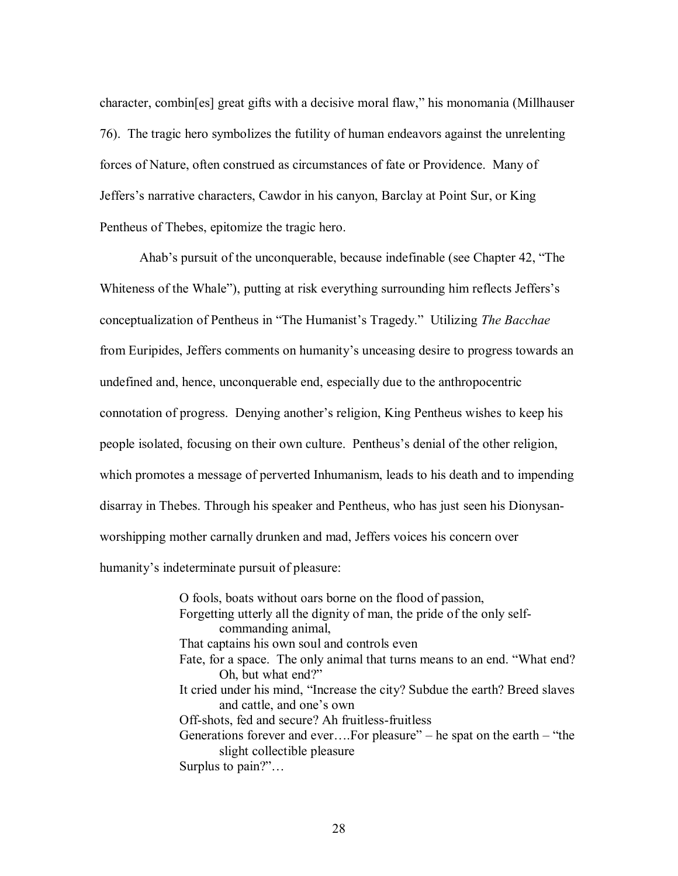character, combin[es] great gifts with a decisive moral flaw," his monomania (Millhauser 76). The tragic hero symbolizes the futility of human endeavors against the unrelenting forces of Nature, often construed as circumstances of fate or Providence. Many of Jeffers"s narrative characters, Cawdor in his canyon, Barclay at Point Sur, or King Pentheus of Thebes, epitomize the tragic hero.

Ahab"s pursuit of the unconquerable, because indefinable (see Chapter 42, "The Whiteness of the Whale"), putting at risk everything surrounding him reflects Jeffers's conceptualization of Pentheus in "The Humanist"s Tragedy." Utilizing *The Bacchae* from Euripides, Jeffers comments on humanity"s unceasing desire to progress towards an undefined and, hence, unconquerable end, especially due to the anthropocentric connotation of progress. Denying another"s religion, King Pentheus wishes to keep his people isolated, focusing on their own culture. Pentheus"s denial of the other religion, which promotes a message of perverted Inhumanism, leads to his death and to impending disarray in Thebes. Through his speaker and Pentheus, who has just seen his Dionysanworshipping mother carnally drunken and mad, Jeffers voices his concern over humanity's indeterminate pursuit of pleasure:

> O fools, boats without oars borne on the flood of passion, Forgetting utterly all the dignity of man, the pride of the only selfcommanding animal, That captains his own soul and controls even Fate, for a space. The only animal that turns means to an end. "What end? Oh, but what end?" It cried under his mind, "Increase the city? Subdue the earth? Breed slaves and cattle, and one"s own Off-shots, fed and secure? Ah fruitless-fruitless Generations forever and ever….For pleasure" – he spat on the earth – "the slight collectible pleasure Surplus to pain?"…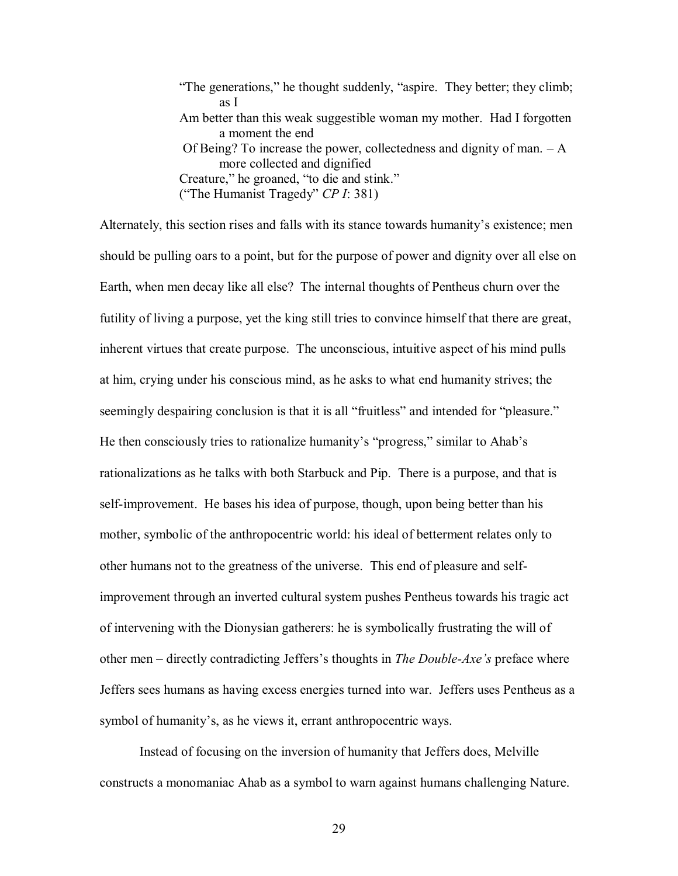"The generations," he thought suddenly, "aspire. They better; they climb; as I Am better than this weak suggestible woman my mother. Had I forgotten a moment the end Of Being? To increase the power, collectedness and dignity of man. – A more collected and dignified Creature," he groaned, "to die and stink." ("The Humanist Tragedy" *CP I*: 381)

Alternately, this section rises and falls with its stance towards humanity"s existence; men should be pulling oars to a point, but for the purpose of power and dignity over all else on Earth, when men decay like all else? The internal thoughts of Pentheus churn over the futility of living a purpose, yet the king still tries to convince himself that there are great, inherent virtues that create purpose. The unconscious, intuitive aspect of his mind pulls at him, crying under his conscious mind, as he asks to what end humanity strives; the seemingly despairing conclusion is that it is all "fruitless" and intended for "pleasure." He then consciously tries to rationalize humanity's "progress," similar to Ahab's rationalizations as he talks with both Starbuck and Pip. There is a purpose, and that is self-improvement. He bases his idea of purpose, though, upon being better than his mother, symbolic of the anthropocentric world: his ideal of betterment relates only to other humans not to the greatness of the universe. This end of pleasure and selfimprovement through an inverted cultural system pushes Pentheus towards his tragic act of intervening with the Dionysian gatherers: he is symbolically frustrating the will of other men – directly contradicting Jeffers"s thoughts in *The Double-Axe's* preface where Jeffers sees humans as having excess energies turned into war. Jeffers uses Pentheus as a symbol of humanity's, as he views it, errant anthropocentric ways.

Instead of focusing on the inversion of humanity that Jeffers does, Melville constructs a monomaniac Ahab as a symbol to warn against humans challenging Nature.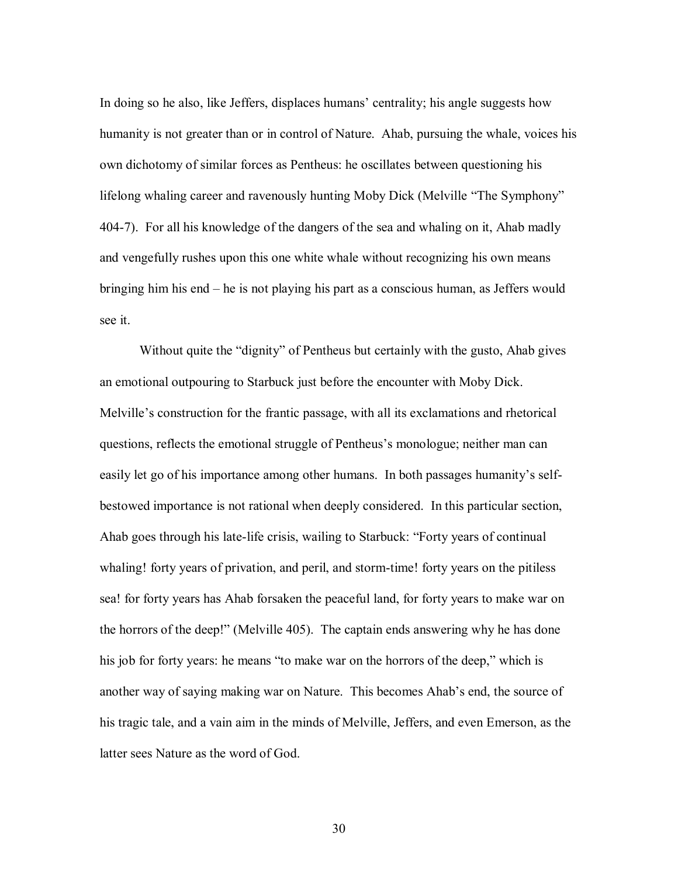In doing so he also, like Jeffers, displaces humans' centrality; his angle suggests how humanity is not greater than or in control of Nature. Ahab, pursuing the whale, voices his own dichotomy of similar forces as Pentheus: he oscillates between questioning his lifelong whaling career and ravenously hunting Moby Dick (Melville "The Symphony" 404-7). For all his knowledge of the dangers of the sea and whaling on it, Ahab madly and vengefully rushes upon this one white whale without recognizing his own means bringing him his end – he is not playing his part as a conscious human, as Jeffers would see it.

Without quite the "dignity" of Pentheus but certainly with the gusto, Ahab gives an emotional outpouring to Starbuck just before the encounter with Moby Dick. Melville"s construction for the frantic passage, with all its exclamations and rhetorical questions, reflects the emotional struggle of Pentheus"s monologue; neither man can easily let go of his importance among other humans. In both passages humanity's selfbestowed importance is not rational when deeply considered. In this particular section, Ahab goes through his late-life crisis, wailing to Starbuck: "Forty years of continual whaling! forty years of privation, and peril, and storm-time! forty years on the pitiless sea! for forty years has Ahab forsaken the peaceful land, for forty years to make war on the horrors of the deep!" (Melville 405). The captain ends answering why he has done his job for forty years: he means "to make war on the horrors of the deep," which is another way of saying making war on Nature. This becomes Ahab"s end, the source of his tragic tale, and a vain aim in the minds of Melville, Jeffers, and even Emerson, as the latter sees Nature as the word of God.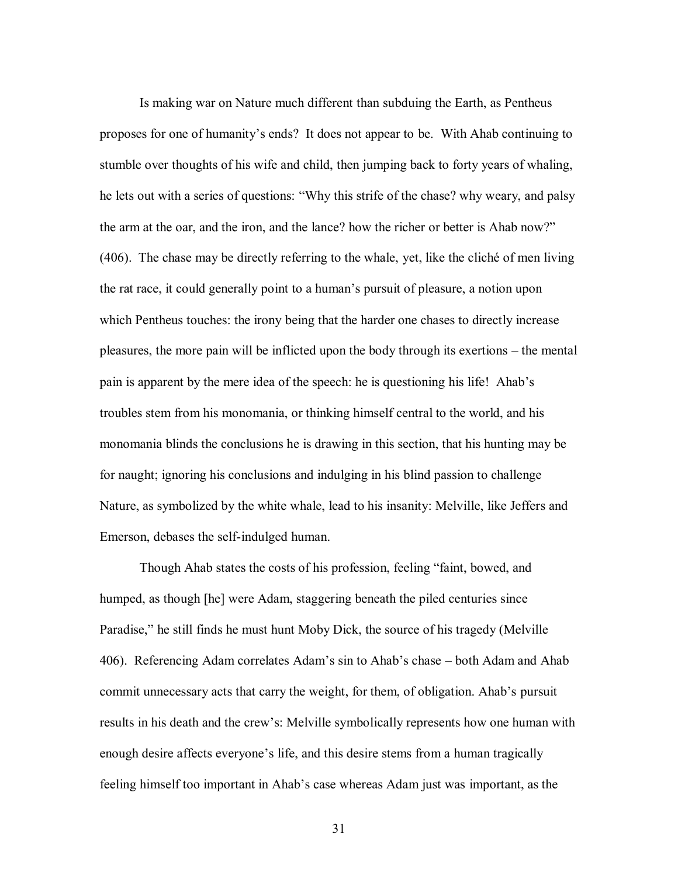Is making war on Nature much different than subduing the Earth, as Pentheus proposes for one of humanity"s ends? It does not appear to be. With Ahab continuing to stumble over thoughts of his wife and child, then jumping back to forty years of whaling, he lets out with a series of questions: "Why this strife of the chase? why weary, and palsy the arm at the oar, and the iron, and the lance? how the richer or better is Ahab now?" (406). The chase may be directly referring to the whale, yet, like the cliché of men living the rat race, it could generally point to a human"s pursuit of pleasure, a notion upon which Pentheus touches: the irony being that the harder one chases to directly increase pleasures, the more pain will be inflicted upon the body through its exertions – the mental pain is apparent by the mere idea of the speech: he is questioning his life! Ahab"s troubles stem from his monomania, or thinking himself central to the world, and his monomania blinds the conclusions he is drawing in this section, that his hunting may be for naught; ignoring his conclusions and indulging in his blind passion to challenge Nature, as symbolized by the white whale, lead to his insanity: Melville, like Jeffers and Emerson, debases the self-indulged human.

Though Ahab states the costs of his profession, feeling "faint, bowed, and humped, as though [he] were Adam, staggering beneath the piled centuries since Paradise," he still finds he must hunt Moby Dick, the source of his tragedy (Melville 406). Referencing Adam correlates Adam"s sin to Ahab"s chase – both Adam and Ahab commit unnecessary acts that carry the weight, for them, of obligation. Ahab"s pursuit results in his death and the crew"s: Melville symbolically represents how one human with enough desire affects everyone's life, and this desire stems from a human tragically feeling himself too important in Ahab"s case whereas Adam just was important, as the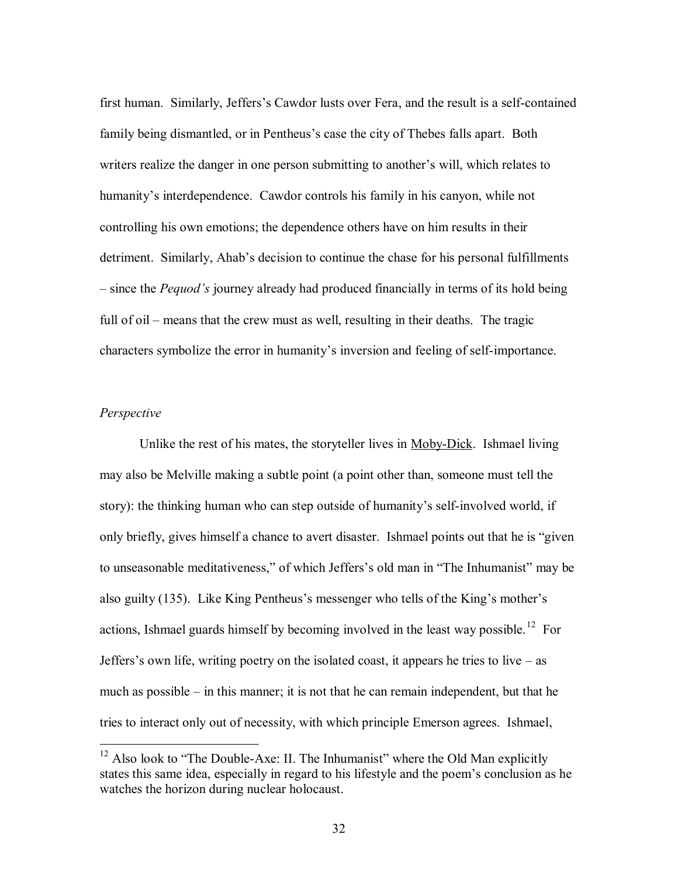first human. Similarly, Jeffers"s Cawdor lusts over Fera, and the result is a self-contained family being dismantled, or in Pentheus's case the city of Thebes falls apart. Both writers realize the danger in one person submitting to another's will, which relates to humanity's interdependence. Cawdor controls his family in his canyon, while not controlling his own emotions; the dependence others have on him results in their detriment. Similarly, Ahab"s decision to continue the chase for his personal fulfillments – since the *Pequod's* journey already had produced financially in terms of its hold being full of oil – means that the crew must as well, resulting in their deaths. The tragic characters symbolize the error in humanity"s inversion and feeling of self-importance.

### *Perspective*

 $\overline{a}$ 

Unlike the rest of his mates, the storyteller lives in Moby-Dick. Ishmael living may also be Melville making a subtle point (a point other than, someone must tell the story): the thinking human who can step outside of humanity"s self-involved world, if only briefly, gives himself a chance to avert disaster. Ishmael points out that he is "given to unseasonable meditativeness," of which Jeffers's old man in "The Inhumanist" may be also guilty (135). Like King Pentheus"s messenger who tells of the King"s mother"s actions, Ishmael guards himself by becoming involved in the least way possible.<sup>12</sup> For Jeffers's own life, writing poetry on the isolated coast, it appears he tries to live – as much as possible – in this manner; it is not that he can remain independent, but that he tries to interact only out of necessity, with which principle Emerson agrees. Ishmael,

 $12$  Also look to "The Double-Axe: II. The Inhumanist" where the Old Man explicitly states this same idea, especially in regard to his lifestyle and the poem"s conclusion as he watches the horizon during nuclear holocaust.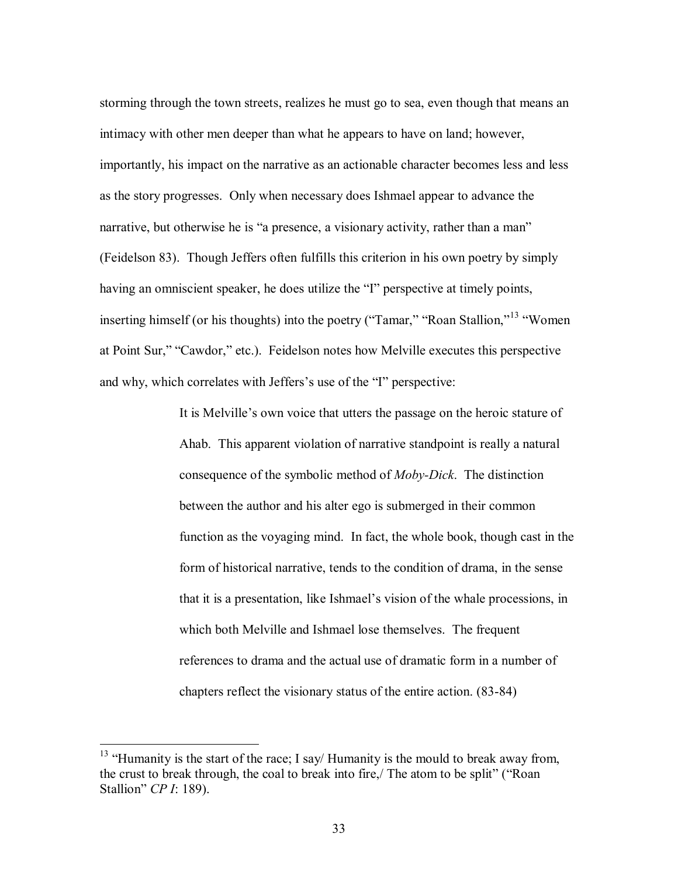storming through the town streets, realizes he must go to sea, even though that means an intimacy with other men deeper than what he appears to have on land; however, importantly, his impact on the narrative as an actionable character becomes less and less as the story progresses. Only when necessary does Ishmael appear to advance the narrative, but otherwise he is "a presence, a visionary activity, rather than a man" (Feidelson 83). Though Jeffers often fulfills this criterion in his own poetry by simply having an omniscient speaker, he does utilize the "I" perspective at timely points, inserting himself (or his thoughts) into the poetry ("Tamar," "Roan Stallion,"<sup>13</sup> "Women" at Point Sur," "Cawdor," etc.). Feidelson notes how Melville executes this perspective and why, which correlates with Jeffers's use of the "I" perspective:

> It is Melville"s own voice that utters the passage on the heroic stature of Ahab. This apparent violation of narrative standpoint is really a natural consequence of the symbolic method of *Moby-Dick*. The distinction between the author and his alter ego is submerged in their common function as the voyaging mind. In fact, the whole book, though cast in the form of historical narrative, tends to the condition of drama, in the sense that it is a presentation, like Ishmael"s vision of the whale processions, in which both Melville and Ishmael lose themselves. The frequent references to drama and the actual use of dramatic form in a number of chapters reflect the visionary status of the entire action. (83-84)

<sup>&</sup>lt;sup>13</sup> "Humanity is the start of the race; I say/ Humanity is the mould to break away from, the crust to break through, the coal to break into fire,/ The atom to be split" ("Roan Stallion" *CP I*: 189).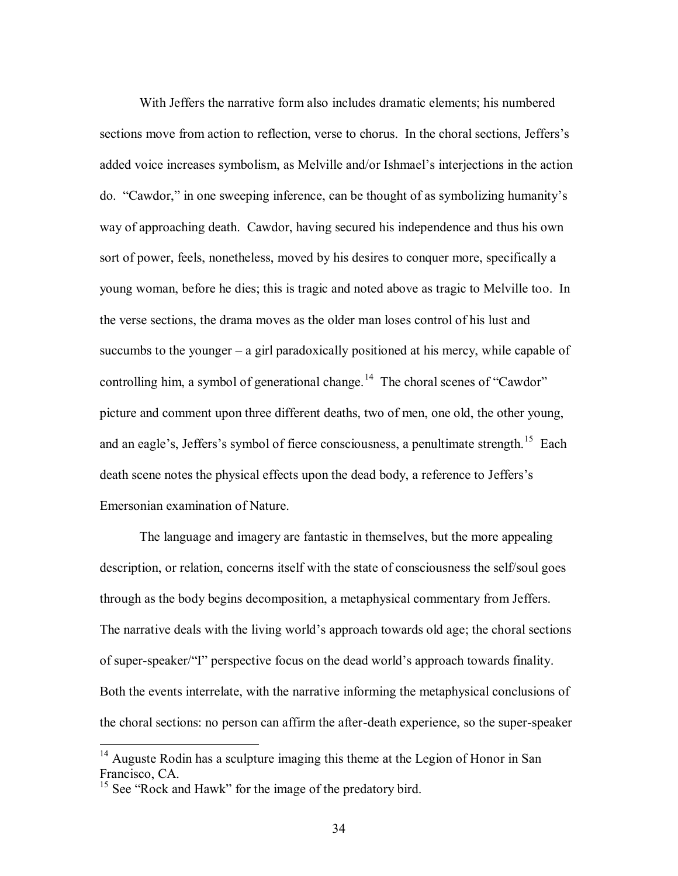With Jeffers the narrative form also includes dramatic elements; his numbered sections move from action to reflection, verse to chorus. In the choral sections, Jeffers's added voice increases symbolism, as Melville and/or Ishmael"s interjections in the action do. "Cawdor," in one sweeping inference, can be thought of as symbolizing humanity"s way of approaching death. Cawdor, having secured his independence and thus his own sort of power, feels, nonetheless, moved by his desires to conquer more, specifically a young woman, before he dies; this is tragic and noted above as tragic to Melville too. In the verse sections, the drama moves as the older man loses control of his lust and succumbs to the younger – a girl paradoxically positioned at his mercy, while capable of controlling him, a symbol of generational change.<sup>14</sup> The choral scenes of "Cawdor" picture and comment upon three different deaths, two of men, one old, the other young, and an eagle's, Jeffers's symbol of fierce consciousness, a penultimate strength.<sup>15</sup> Each death scene notes the physical effects upon the dead body, a reference to Jeffers"s Emersonian examination of Nature.

The language and imagery are fantastic in themselves, but the more appealing description, or relation, concerns itself with the state of consciousness the self/soul goes through as the body begins decomposition, a metaphysical commentary from Jeffers. The narrative deals with the living world's approach towards old age; the choral sections of super-speaker/"I" perspective focus on the dead world"s approach towards finality. Both the events interrelate, with the narrative informing the metaphysical conclusions of the choral sections: no person can affirm the after-death experience, so the super-speaker

 $14$  Auguste Rodin has a sculpture imaging this theme at the Legion of Honor in San Francisco, CA.

<sup>&</sup>lt;sup>15</sup> See "Rock and Hawk" for the image of the predatory bird.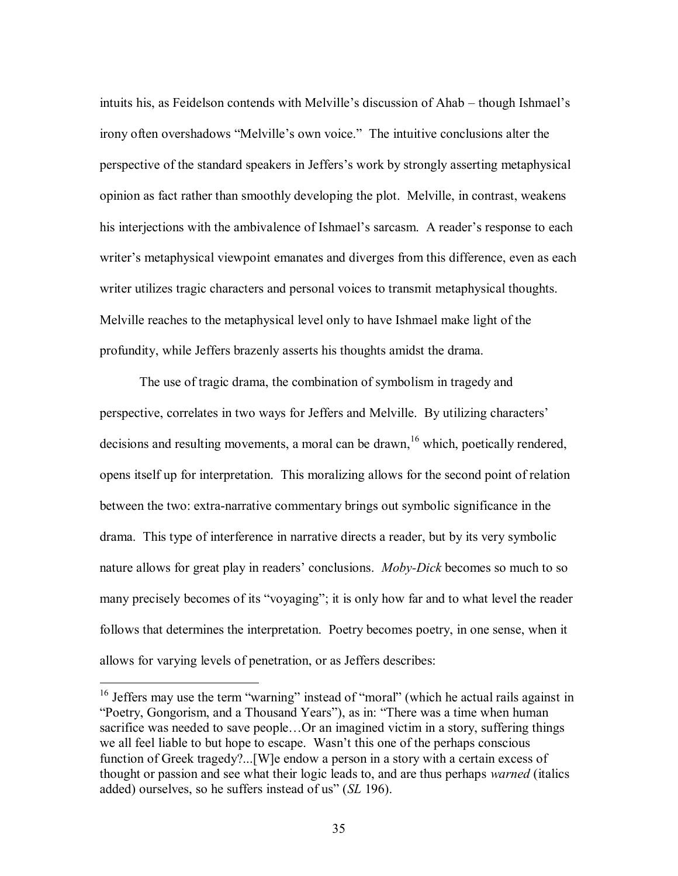intuits his, as Feidelson contends with Melville"s discussion of Ahab – though Ishmael"s irony often overshadows "Melville"s own voice." The intuitive conclusions alter the perspective of the standard speakers in Jeffers"s work by strongly asserting metaphysical opinion as fact rather than smoothly developing the plot. Melville, in contrast, weakens his interjections with the ambivalence of Ishmael's sarcasm. A reader's response to each writer's metaphysical viewpoint emanates and diverges from this difference, even as each writer utilizes tragic characters and personal voices to transmit metaphysical thoughts. Melville reaches to the metaphysical level only to have Ishmael make light of the profundity, while Jeffers brazenly asserts his thoughts amidst the drama.

The use of tragic drama, the combination of symbolism in tragedy and perspective, correlates in two ways for Jeffers and Melville. By utilizing characters" decisions and resulting movements, a moral can be drawn, <sup>16</sup> which, poetically rendered, opens itself up for interpretation. This moralizing allows for the second point of relation between the two: extra-narrative commentary brings out symbolic significance in the drama. This type of interference in narrative directs a reader, but by its very symbolic nature allows for great play in readers' conclusions. *Moby-Dick* becomes so much to so many precisely becomes of its "voyaging"; it is only how far and to what level the reader follows that determines the interpretation. Poetry becomes poetry, in one sense, when it allows for varying levels of penetration, or as Jeffers describes:

<sup>&</sup>lt;sup>16</sup> Jeffers may use the term "warning" instead of "moral" (which he actual rails against in "Poetry, Gongorism, and a Thousand Years"), as in: "There was a time when human sacrifice was needed to save people…Or an imagined victim in a story, suffering things we all feel liable to but hope to escape. Wasn"t this one of the perhaps conscious function of Greek tragedy?...[W]e endow a person in a story with a certain excess of thought or passion and see what their logic leads to, and are thus perhaps *warned* (italics added) ourselves, so he suffers instead of us" (*SL* 196).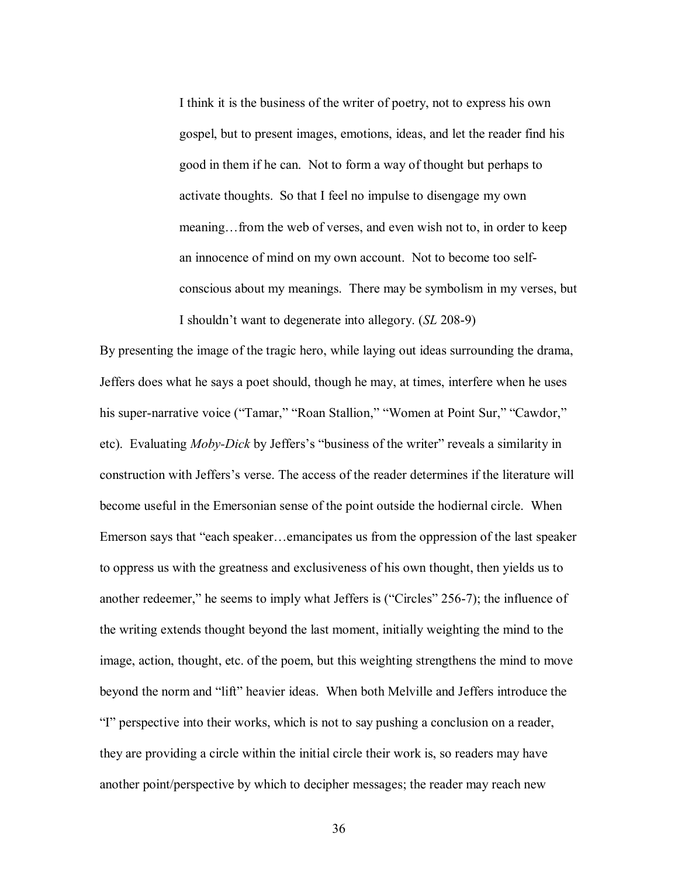I think it is the business of the writer of poetry, not to express his own gospel, but to present images, emotions, ideas, and let the reader find his good in them if he can. Not to form a way of thought but perhaps to activate thoughts. So that I feel no impulse to disengage my own meaning…from the web of verses, and even wish not to, in order to keep an innocence of mind on my own account. Not to become too selfconscious about my meanings. There may be symbolism in my verses, but I shouldn"t want to degenerate into allegory. (*SL* 208-9)

By presenting the image of the tragic hero, while laying out ideas surrounding the drama, Jeffers does what he says a poet should, though he may, at times, interfere when he uses his super-narrative voice ("Tamar," "Roan Stallion," "Women at Point Sur," "Cawdor," etc). Evaluating *Moby-Dick* by Jeffers's "business of the writer" reveals a similarity in construction with Jeffers"s verse. The access of the reader determines if the literature will become useful in the Emersonian sense of the point outside the hodiernal circle. When Emerson says that "each speaker…emancipates us from the oppression of the last speaker to oppress us with the greatness and exclusiveness of his own thought, then yields us to another redeemer," he seems to imply what Jeffers is ("Circles" 256-7); the influence of the writing extends thought beyond the last moment, initially weighting the mind to the image, action, thought, etc. of the poem, but this weighting strengthens the mind to move beyond the norm and "lift" heavier ideas. When both Melville and Jeffers introduce the "I" perspective into their works, which is not to say pushing a conclusion on a reader, they are providing a circle within the initial circle their work is, so readers may have another point/perspective by which to decipher messages; the reader may reach new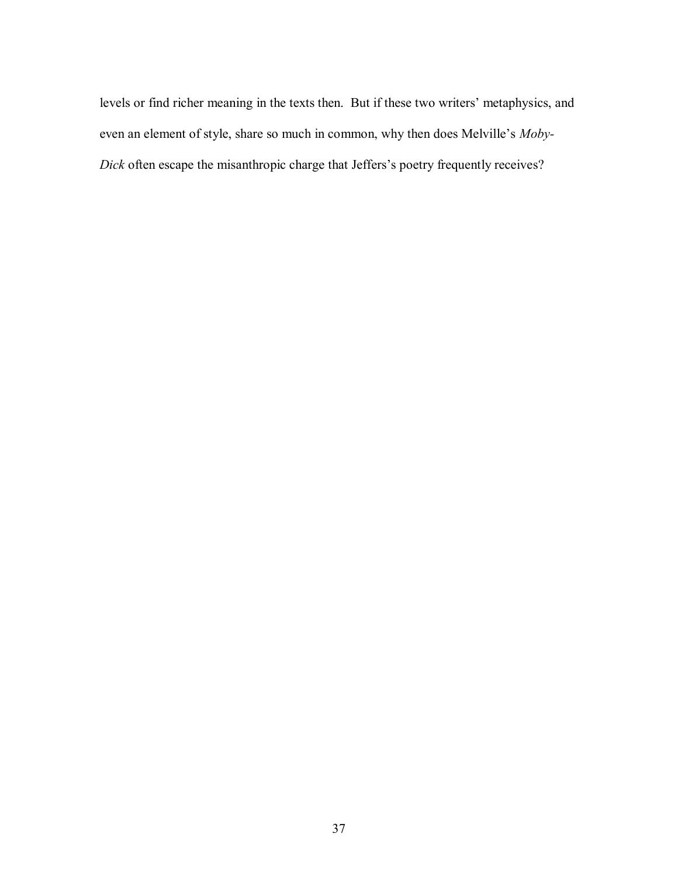levels or find richer meaning in the texts then. But if these two writers" metaphysics, and even an element of style, share so much in common, why then does Melville"s *Moby-Dick* often escape the misanthropic charge that Jeffers's poetry frequently receives?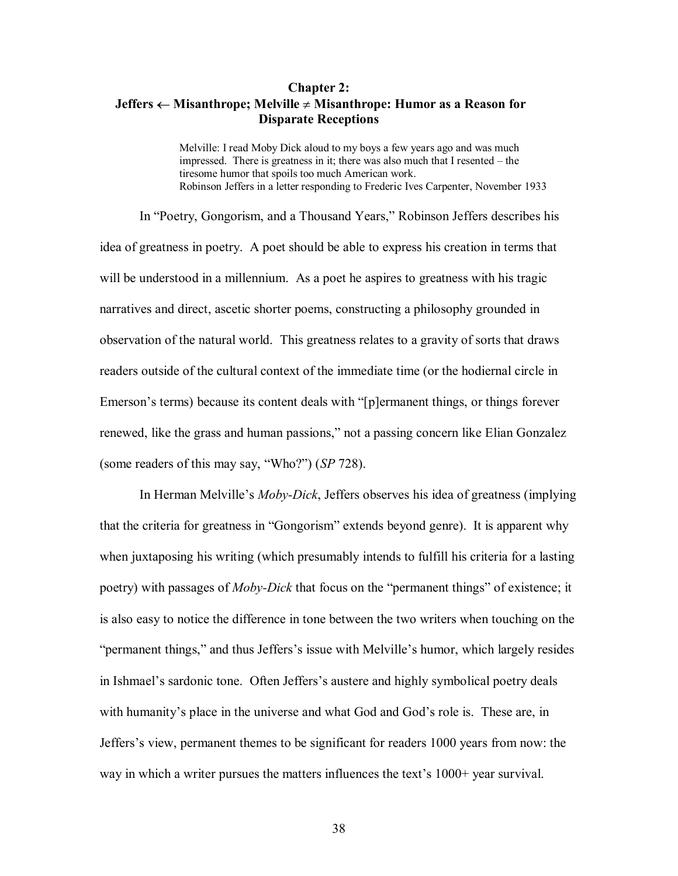## **Chapter 2: Jeffers**  $\leftarrow$  **Misanthrope;** Melville  $\neq$  Misanthrope: Humor as a Reason for **Disparate Receptions**

Melville: I read Moby Dick aloud to my boys a few years ago and was much impressed. There is greatness in it; there was also much that I resented – the tiresome humor that spoils too much American work. Robinson Jeffers in a letter responding to Frederic Ives Carpenter, November 1933

In "Poetry, Gongorism, and a Thousand Years," Robinson Jeffers describes his idea of greatness in poetry. A poet should be able to express his creation in terms that will be understood in a millennium. As a poet he aspires to greatness with his tragic narratives and direct, ascetic shorter poems, constructing a philosophy grounded in observation of the natural world. This greatness relates to a gravity of sorts that draws readers outside of the cultural context of the immediate time (or the hodiernal circle in Emerson's terms) because its content deals with "[p]ermanent things, or things forever renewed, like the grass and human passions," not a passing concern like Elian Gonzalez (some readers of this may say, "Who?") (*SP* 728).

In Herman Melville"s *Moby-Dick*, Jeffers observes his idea of greatness (implying that the criteria for greatness in "Gongorism" extends beyond genre). It is apparent why when juxtaposing his writing (which presumably intends to fulfill his criteria for a lasting poetry) with passages of *Moby-Dick* that focus on the "permanent things" of existence; it is also easy to notice the difference in tone between the two writers when touching on the "permanent things," and thus Jeffers"s issue with Melville"s humor, which largely resides in Ishmael"s sardonic tone. Often Jeffers"s austere and highly symbolical poetry deals with humanity's place in the universe and what God and God's role is. These are, in Jeffers"s view, permanent themes to be significant for readers 1000 years from now: the way in which a writer pursues the matters influences the text's 1000+ year survival.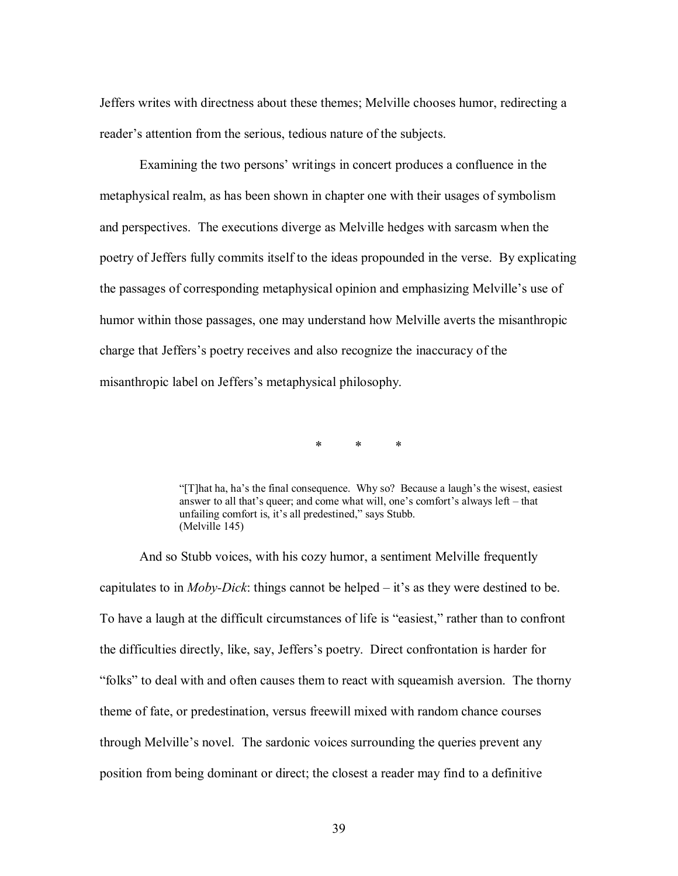Jeffers writes with directness about these themes; Melville chooses humor, redirecting a reader's attention from the serious, tedious nature of the subjects.

Examining the two persons' writings in concert produces a confluence in the metaphysical realm, as has been shown in chapter one with their usages of symbolism and perspectives. The executions diverge as Melville hedges with sarcasm when the poetry of Jeffers fully commits itself to the ideas propounded in the verse. By explicating the passages of corresponding metaphysical opinion and emphasizing Melville"s use of humor within those passages, one may understand how Melville averts the misanthropic charge that Jeffers"s poetry receives and also recognize the inaccuracy of the misanthropic label on Jeffers"s metaphysical philosophy.

> $\ast$  $\star$  $\ast$

"[T]hat ha, ha"s the final consequence. Why so? Because a laugh"s the wisest, easiest answer to all that's queer; and come what will, one's comfort's always left – that unfailing comfort is, it's all predestined," says Stubb. (Melville 145)

And so Stubb voices, with his cozy humor, a sentiment Melville frequently capitulates to in *Moby-Dick*: things cannot be helped – it"s as they were destined to be. To have a laugh at the difficult circumstances of life is "easiest," rather than to confront the difficulties directly, like, say, Jeffers"s poetry. Direct confrontation is harder for "folks" to deal with and often causes them to react with squeamish aversion. The thorny theme of fate, or predestination, versus freewill mixed with random chance courses through Melville"s novel. The sardonic voices surrounding the queries prevent any position from being dominant or direct; the closest a reader may find to a definitive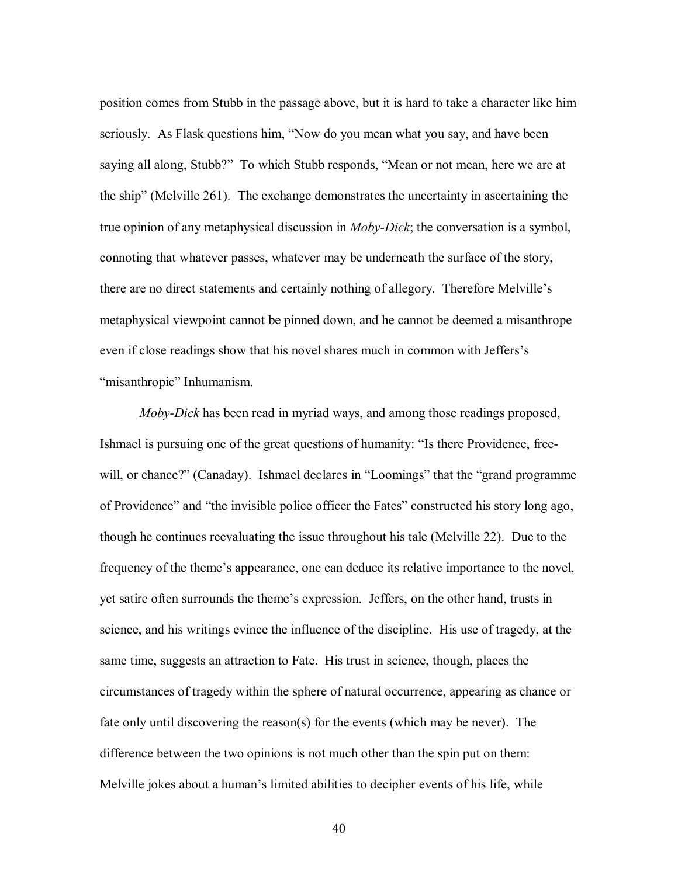position comes from Stubb in the passage above, but it is hard to take a character like him seriously. As Flask questions him, "Now do you mean what you say, and have been saying all along, Stubb?" To which Stubb responds, "Mean or not mean, here we are at the ship" (Melville 261). The exchange demonstrates the uncertainty in ascertaining the true opinion of any metaphysical discussion in *Moby-Dick*; the conversation is a symbol, connoting that whatever passes, whatever may be underneath the surface of the story, there are no direct statements and certainly nothing of allegory. Therefore Melville"s metaphysical viewpoint cannot be pinned down, and he cannot be deemed a misanthrope even if close readings show that his novel shares much in common with Jeffers"s "misanthropic" Inhumanism.

*Moby-Dick* has been read in myriad ways, and among those readings proposed, Ishmael is pursuing one of the great questions of humanity: "Is there Providence, freewill, or chance?" (Canaday). Ishmael declares in "Loomings" that the "grand programme of Providence" and "the invisible police officer the Fates" constructed his story long ago, though he continues reevaluating the issue throughout his tale (Melville 22). Due to the frequency of the theme"s appearance, one can deduce its relative importance to the novel, yet satire often surrounds the theme"s expression. Jeffers, on the other hand, trusts in science, and his writings evince the influence of the discipline. His use of tragedy, at the same time, suggests an attraction to Fate. His trust in science, though, places the circumstances of tragedy within the sphere of natural occurrence, appearing as chance or fate only until discovering the reason(s) for the events (which may be never). The difference between the two opinions is not much other than the spin put on them: Melville jokes about a human"s limited abilities to decipher events of his life, while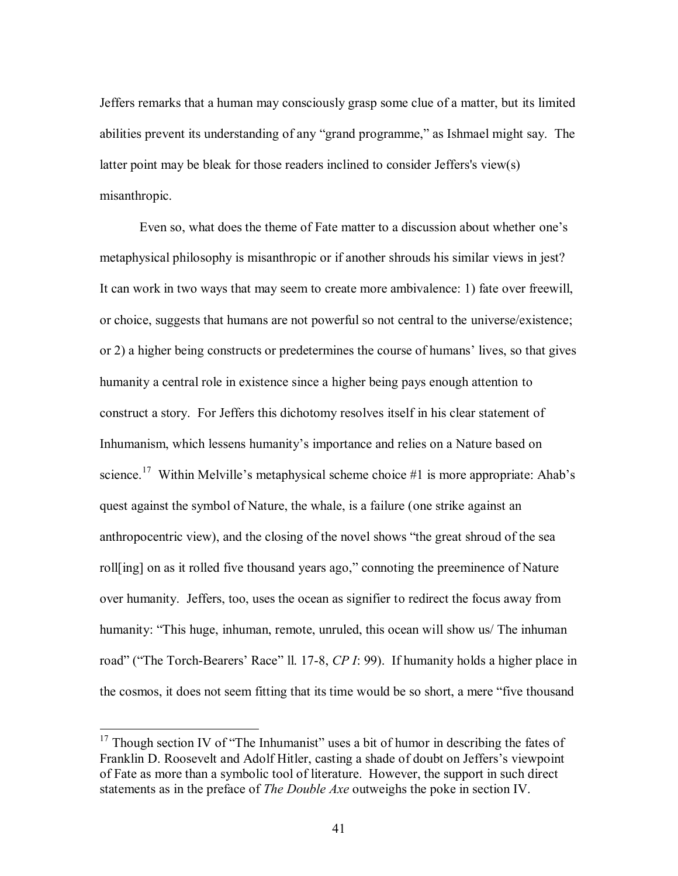Jeffers remarks that a human may consciously grasp some clue of a matter, but its limited abilities prevent its understanding of any "grand programme," as Ishmael might say. The latter point may be bleak for those readers inclined to consider Jeffers's view(s) misanthropic.

Even so, what does the theme of Fate matter to a discussion about whether one"s metaphysical philosophy is misanthropic or if another shrouds his similar views in jest? It can work in two ways that may seem to create more ambivalence: 1) fate over freewill, or choice, suggests that humans are not powerful so not central to the universe/existence; or 2) a higher being constructs or predetermines the course of humans" lives, so that gives humanity a central role in existence since a higher being pays enough attention to construct a story. For Jeffers this dichotomy resolves itself in his clear statement of Inhumanism, which lessens humanity's importance and relies on a Nature based on science.<sup>17</sup> Within Melville's metaphysical scheme choice #1 is more appropriate: Ahab's quest against the symbol of Nature, the whale, is a failure (one strike against an anthropocentric view), and the closing of the novel shows "the great shroud of the sea roll[ing] on as it rolled five thousand years ago," connoting the preeminence of Nature over humanity. Jeffers, too, uses the ocean as signifier to redirect the focus away from humanity: "This huge, inhuman, remote, unruled, this ocean will show us/ The inhuman road" ("The Torch-Bearers' Race" ll. 17-8, CP I: 99). If humanity holds a higher place in the cosmos, it does not seem fitting that its time would be so short, a mere "five thousand

 $17$  Though section IV of "The Inhumanist" uses a bit of humor in describing the fates of Franklin D. Roosevelt and Adolf Hitler, casting a shade of doubt on Jeffers's viewpoint of Fate as more than a symbolic tool of literature. However, the support in such direct statements as in the preface of *The Double Axe* outweighs the poke in section IV.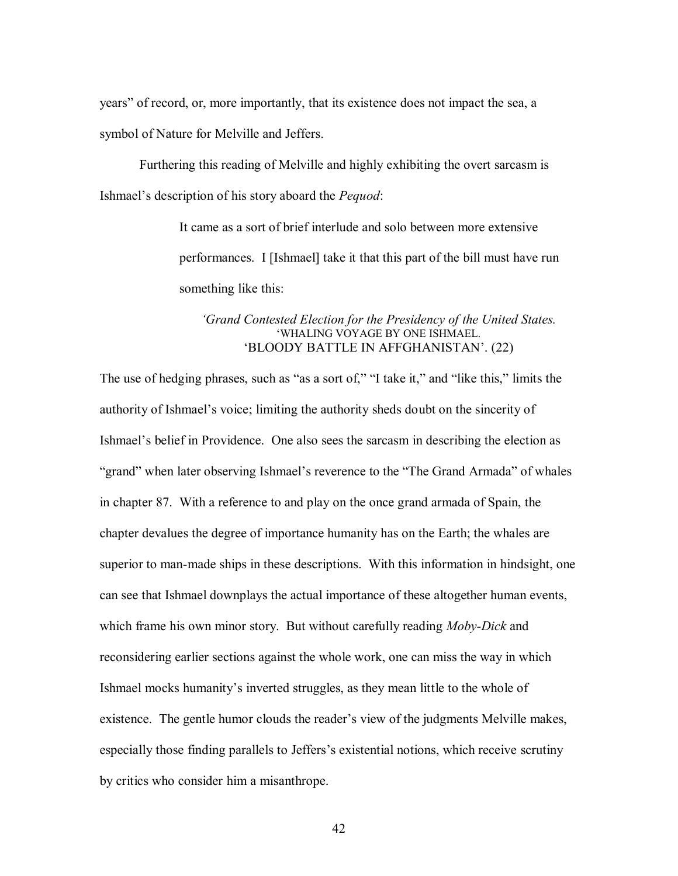years" of record, or, more importantly, that its existence does not impact the sea, a symbol of Nature for Melville and Jeffers.

Furthering this reading of Melville and highly exhibiting the overt sarcasm is Ishmael"s description of his story aboard the *Pequod*:

> It came as a sort of brief interlude and solo between more extensive performances. I [Ishmael] take it that this part of the bill must have run something like this:

#### *'Grand Contested Election for the Presidency of the United States.* "WHALING VOYAGE BY ONE ISHMAEL. "BLOODY BATTLE IN AFFGHANISTAN". (22)

The use of hedging phrases, such as "as a sort of," "I take it," and "like this," limits the authority of Ishmael"s voice; limiting the authority sheds doubt on the sincerity of Ishmael"s belief in Providence. One also sees the sarcasm in describing the election as "grand" when later observing Ishmael's reverence to the "The Grand Armada" of whales in chapter 87. With a reference to and play on the once grand armada of Spain, the chapter devalues the degree of importance humanity has on the Earth; the whales are superior to man-made ships in these descriptions. With this information in hindsight, one can see that Ishmael downplays the actual importance of these altogether human events, which frame his own minor story. But without carefully reading *Moby-Dick* and reconsidering earlier sections against the whole work, one can miss the way in which Ishmael mocks humanity"s inverted struggles, as they mean little to the whole of existence. The gentle humor clouds the reader"s view of the judgments Melville makes, especially those finding parallels to Jeffers"s existential notions, which receive scrutiny by critics who consider him a misanthrope.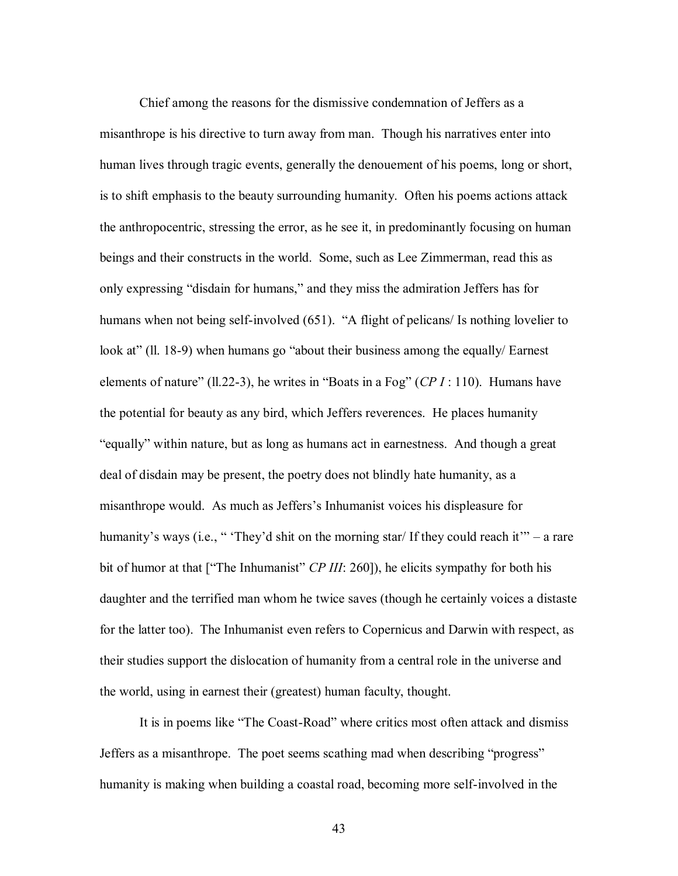Chief among the reasons for the dismissive condemnation of Jeffers as a misanthrope is his directive to turn away from man. Though his narratives enter into human lives through tragic events, generally the denouement of his poems, long or short, is to shift emphasis to the beauty surrounding humanity. Often his poems actions attack the anthropocentric, stressing the error, as he see it, in predominantly focusing on human beings and their constructs in the world. Some, such as Lee Zimmerman, read this as only expressing "disdain for humans," and they miss the admiration Jeffers has for humans when not being self-involved (651). "A flight of pelicans/ Is nothing lovelier to look at" (ll. 18-9) when humans go "about their business among the equally/ Earnest elements of nature" (ll.22-3), he writes in "Boats in a Fog" (*CP I* : 110). Humans have the potential for beauty as any bird, which Jeffers reverences. He places humanity "equally" within nature, but as long as humans act in earnestness. And though a great deal of disdain may be present, the poetry does not blindly hate humanity, as a misanthrope would. As much as Jeffers"s Inhumanist voices his displeasure for humanity's ways (i.e., " 'They'd shit on the morning star/ If they could reach it'" – a rare bit of humor at that ["The Inhumanist" *CP III*: 260]), he elicits sympathy for both his daughter and the terrified man whom he twice saves (though he certainly voices a distaste for the latter too). The Inhumanist even refers to Copernicus and Darwin with respect, as their studies support the dislocation of humanity from a central role in the universe and the world, using in earnest their (greatest) human faculty, thought.

It is in poems like "The Coast-Road" where critics most often attack and dismiss Jeffers as a misanthrope. The poet seems scathing mad when describing "progress" humanity is making when building a coastal road, becoming more self-involved in the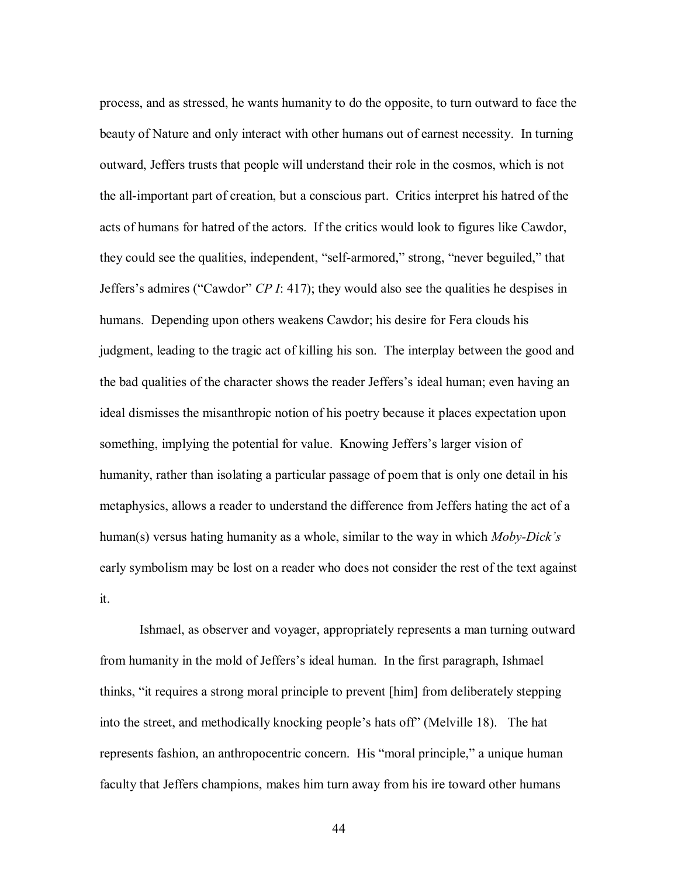process, and as stressed, he wants humanity to do the opposite, to turn outward to face the beauty of Nature and only interact with other humans out of earnest necessity. In turning outward, Jeffers trusts that people will understand their role in the cosmos, which is not the all-important part of creation, but a conscious part. Critics interpret his hatred of the acts of humans for hatred of the actors. If the critics would look to figures like Cawdor, they could see the qualities, independent, "self-armored," strong, "never beguiled," that Jeffers"s admires ("Cawdor" *CP I*: 417); they would also see the qualities he despises in humans. Depending upon others weakens Cawdor; his desire for Fera clouds his judgment, leading to the tragic act of killing his son. The interplay between the good and the bad qualities of the character shows the reader Jeffers"s ideal human; even having an ideal dismisses the misanthropic notion of his poetry because it places expectation upon something, implying the potential for value. Knowing Jeffers's larger vision of humanity, rather than isolating a particular passage of poem that is only one detail in his metaphysics, allows a reader to understand the difference from Jeffers hating the act of a human(s) versus hating humanity as a whole, similar to the way in which *Moby-Dick's* early symbolism may be lost on a reader who does not consider the rest of the text against it.

Ishmael, as observer and voyager, appropriately represents a man turning outward from humanity in the mold of Jeffers"s ideal human. In the first paragraph, Ishmael thinks, "it requires a strong moral principle to prevent [him] from deliberately stepping into the street, and methodically knocking people"s hats off" (Melville 18). The hat represents fashion, an anthropocentric concern. His "moral principle," a unique human faculty that Jeffers champions, makes him turn away from his ire toward other humans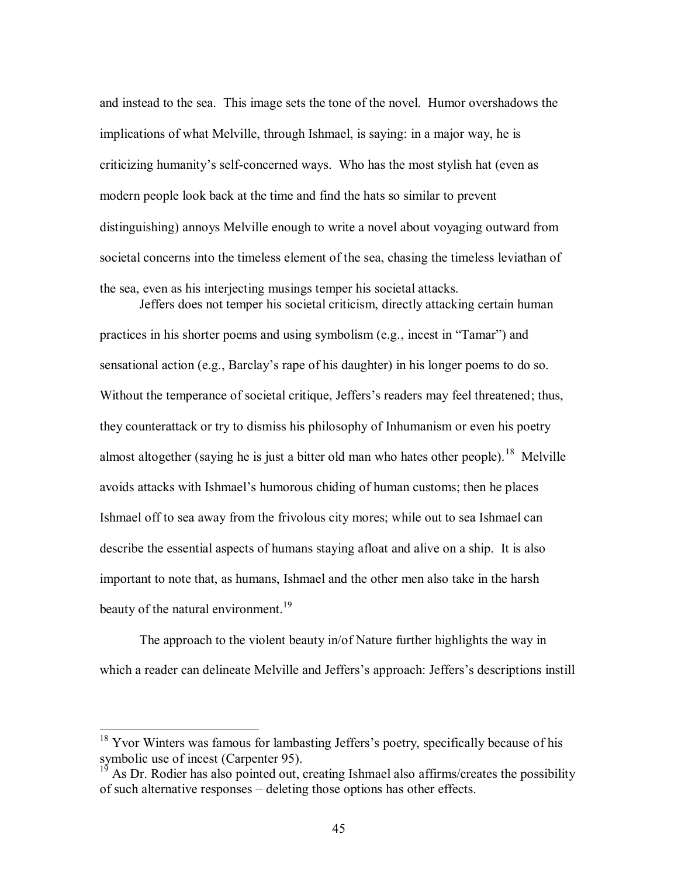and instead to the sea. This image sets the tone of the novel. Humor overshadows the implications of what Melville, through Ishmael, is saying: in a major way, he is criticizing humanity"s self-concerned ways. Who has the most stylish hat (even as modern people look back at the time and find the hats so similar to prevent distinguishing) annoys Melville enough to write a novel about voyaging outward from societal concerns into the timeless element of the sea, chasing the timeless leviathan of the sea, even as his interjecting musings temper his societal attacks. Jeffers does not temper his societal criticism, directly attacking certain human

practices in his shorter poems and using symbolism (e.g., incest in "Tamar") and sensational action (e.g., Barclay's rape of his daughter) in his longer poems to do so. Without the temperance of societal critique, Jeffers's readers may feel threatened; thus, they counterattack or try to dismiss his philosophy of Inhumanism or even his poetry almost altogether (saying he is just a bitter old man who hates other people).<sup>18</sup> Melville avoids attacks with Ishmael"s humorous chiding of human customs; then he places Ishmael off to sea away from the frivolous city mores; while out to sea Ishmael can describe the essential aspects of humans staying afloat and alive on a ship. It is also important to note that, as humans, Ishmael and the other men also take in the harsh beauty of the natural environment.<sup>19</sup>

The approach to the violent beauty in/of Nature further highlights the way in which a reader can delineate Melville and Jeffers's approach: Jeffers's descriptions instill

<sup>&</sup>lt;sup>18</sup> Yvor Winters was famous for lambasting Jeffers's poetry, specifically because of his symbolic use of incest (Carpenter 95).

 $19$  As Dr. Rodier has also pointed out, creating Ishmael also affirms/creates the possibility of such alternative responses – deleting those options has other effects.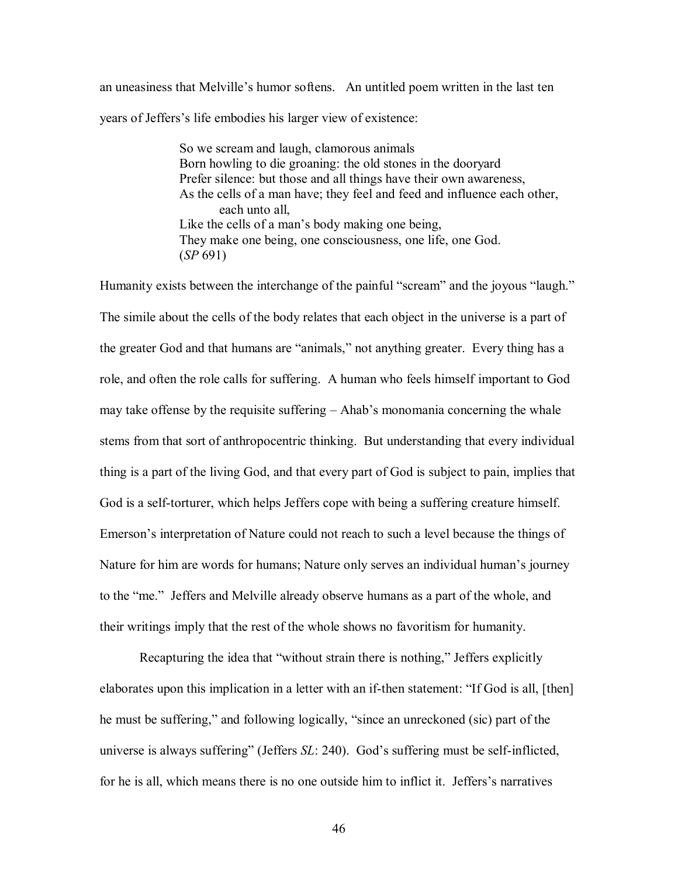an uneasiness that Melville"s humor softens. An untitled poem written in the last ten years of Jeffers"s life embodies his larger view of existence:

> So we scream and laugh, clamorous animals Born howling to die groaning: the old stones in the dooryard Prefer silence: but those and all things have their own awareness, As the cells of a man have; they feel and feed and influence each other, each unto all, Like the cells of a man's body making one being, They make one being, one consciousness, one life, one God. (*SP* 691)

Humanity exists between the interchange of the painful "scream" and the joyous "laugh." The simile about the cells of the body relates that each object in the universe is a part of the greater God and that humans are "animals," not anything greater. Every thing has a role, and often the role calls for suffering. A human who feels himself important to God may take offense by the requisite suffering – Ahab"s monomania concerning the whale stems from that sort of anthropocentric thinking. But understanding that every individual thing is a part of the living God, and that every part of God is subject to pain, implies that God is a self-torturer, which helps Jeffers cope with being a suffering creature himself. Emerson"s interpretation of Nature could not reach to such a level because the things of Nature for him are words for humans; Nature only serves an individual human's journey to the "me." Jeffers and Melville already observe humans as a part of the whole, and their writings imply that the rest of the whole shows no favoritism for humanity.

Recapturing the idea that "without strain there is nothing," Jeffers explicitly elaborates upon this implication in a letter with an if-then statement: "If God is all, [then] he must be suffering," and following logically, "since an unreckoned (sic) part of the universe is always suffering" (Jeffers *SL*: 240). God"s suffering must be self-inflicted, for he is all, which means there is no one outside him to inflict it. Jeffers"s narratives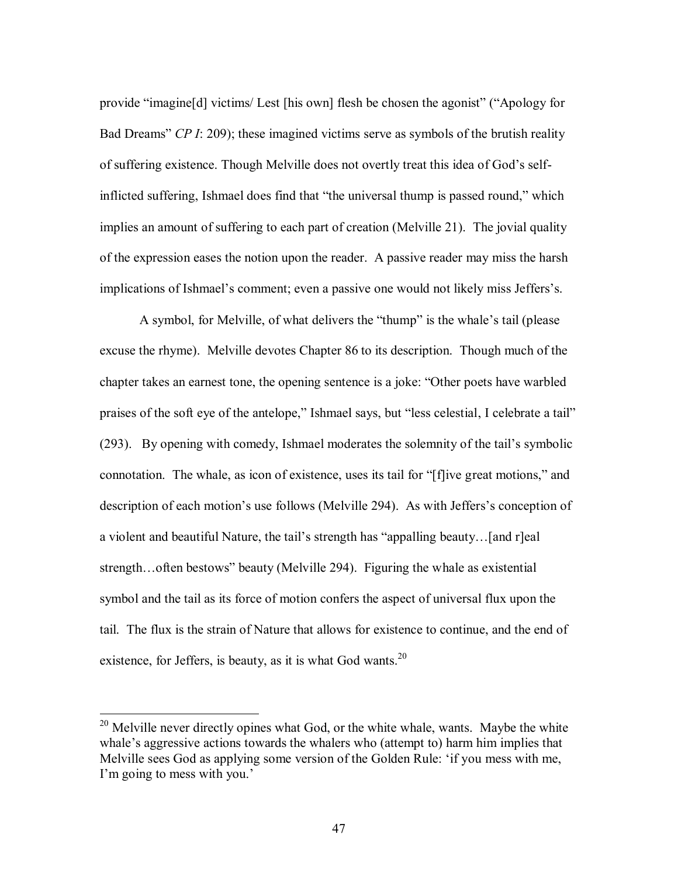provide "imagine[d] victims/ Lest [his own] flesh be chosen the agonist" ("Apology for Bad Dreams" *CP I*: 209); these imagined victims serve as symbols of the brutish reality of suffering existence. Though Melville does not overtly treat this idea of God"s selfinflicted suffering, Ishmael does find that "the universal thump is passed round," which implies an amount of suffering to each part of creation (Melville 21). The jovial quality of the expression eases the notion upon the reader. A passive reader may miss the harsh implications of Ishmael's comment; even a passive one would not likely miss Jeffers's.

A symbol, for Melville, of what delivers the "thump" is the whale"s tail (please excuse the rhyme). Melville devotes Chapter 86 to its description. Though much of the chapter takes an earnest tone, the opening sentence is a joke: "Other poets have warbled praises of the soft eye of the antelope," Ishmael says, but "less celestial, I celebrate a tail" (293). By opening with comedy, Ishmael moderates the solemnity of the tail"s symbolic connotation. The whale, as icon of existence, uses its tail for "[f]ive great motions," and description of each motion's use follows (Melville 294). As with Jeffers's conception of a violent and beautiful Nature, the tail"s strength has "appalling beauty…[and r]eal strength…often bestows" beauty (Melville 294). Figuring the whale as existential symbol and the tail as its force of motion confers the aspect of universal flux upon the tail. The flux is the strain of Nature that allows for existence to continue, and the end of existence, for Jeffers, is beauty, as it is what God wants. $^{20}$ 

 $20$  Melville never directly opines what God, or the white whale, wants. Maybe the white whale's aggressive actions towards the whalers who (attempt to) harm him implies that Melville sees God as applying some version of the Golden Rule: "if you mess with me, I'm going to mess with you.'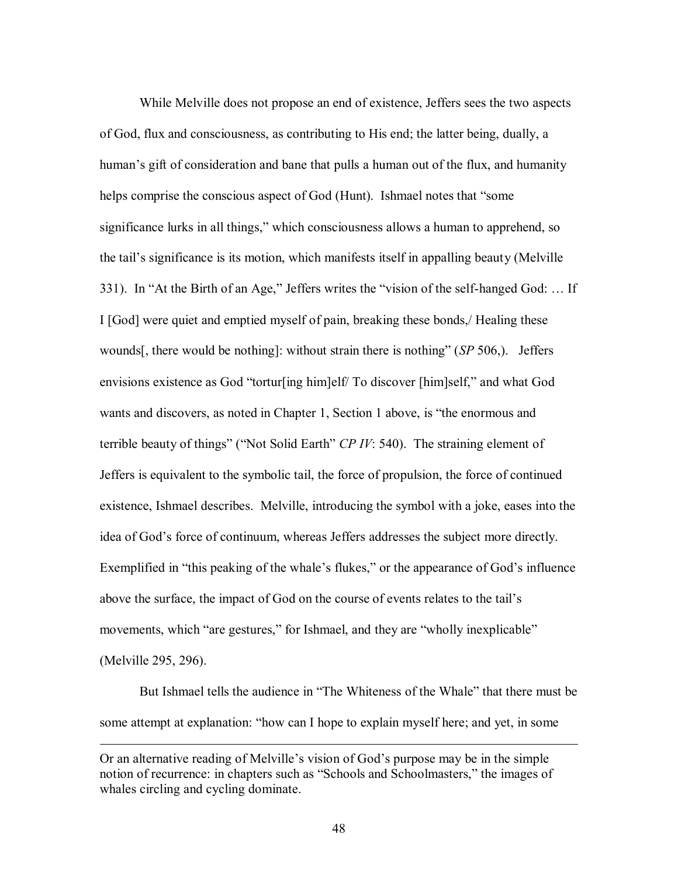While Melville does not propose an end of existence, Jeffers sees the two aspects of God, flux and consciousness, as contributing to His end; the latter being, dually, a human"s gift of consideration and bane that pulls a human out of the flux, and humanity helps comprise the conscious aspect of God (Hunt). Ishmael notes that "some significance lurks in all things," which consciousness allows a human to apprehend, so the tail"s significance is its motion, which manifests itself in appalling beauty (Melville 331). In "At the Birth of an Age," Jeffers writes the "vision of the self-hanged God: … If I [God] were quiet and emptied myself of pain, breaking these bonds,/ Healing these wounds[, there would be nothing]: without strain there is nothing" (*SP* 506,). Jeffers envisions existence as God "tortur[ing him]elf/ To discover [him]self," and what God wants and discovers, as noted in Chapter 1, Section 1 above, is "the enormous and terrible beauty of things" ("Not Solid Earth" *CP IV*: 540). The straining element of Jeffers is equivalent to the symbolic tail, the force of propulsion, the force of continued existence, Ishmael describes. Melville, introducing the symbol with a joke, eases into the idea of God"s force of continuum, whereas Jeffers addresses the subject more directly. Exemplified in "this peaking of the whale's flukes," or the appearance of God's influence above the surface, the impact of God on the course of events relates to the tail"s movements, which "are gestures," for Ishmael, and they are "wholly inexplicable" (Melville 295, 296).

But Ishmael tells the audience in "The Whiteness of the Whale" that there must be some attempt at explanation: "how can I hope to explain myself here; and yet, in some

Or an alternative reading of Melville"s vision of God"s purpose may be in the simple notion of recurrence: in chapters such as "Schools and Schoolmasters," the images of whales circling and cycling dominate.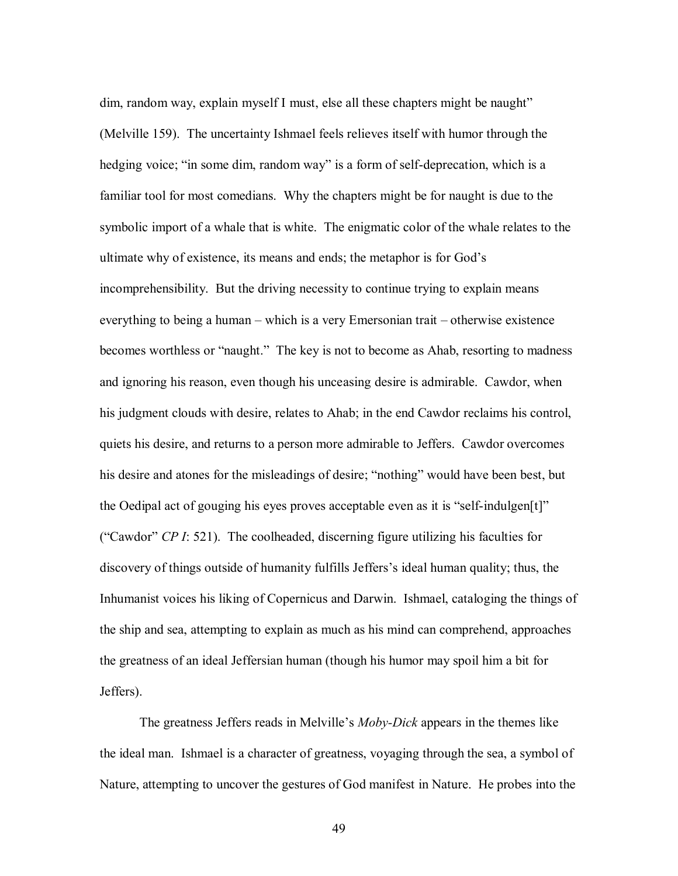dim, random way, explain myself I must, else all these chapters might be naught" (Melville 159). The uncertainty Ishmael feels relieves itself with humor through the hedging voice; "in some dim, random way" is a form of self-deprecation, which is a familiar tool for most comedians. Why the chapters might be for naught is due to the symbolic import of a whale that is white. The enigmatic color of the whale relates to the ultimate why of existence, its means and ends; the metaphor is for God"s incomprehensibility. But the driving necessity to continue trying to explain means everything to being a human – which is a very Emersonian trait – otherwise existence becomes worthless or "naught." The key is not to become as Ahab, resorting to madness and ignoring his reason, even though his unceasing desire is admirable. Cawdor, when his judgment clouds with desire, relates to Ahab; in the end Cawdor reclaims his control, quiets his desire, and returns to a person more admirable to Jeffers. Cawdor overcomes his desire and atones for the misleadings of desire; "nothing" would have been best, but the Oedipal act of gouging his eyes proves acceptable even as it is "self-indulgen $[t]$ " ("Cawdor" *CP I*: 521). The coolheaded, discerning figure utilizing his faculties for discovery of things outside of humanity fulfills Jeffers"s ideal human quality; thus, the Inhumanist voices his liking of Copernicus and Darwin. Ishmael, cataloging the things of the ship and sea, attempting to explain as much as his mind can comprehend, approaches the greatness of an ideal Jeffersian human (though his humor may spoil him a bit for Jeffers).

The greatness Jeffers reads in Melville"s *Moby-Dick* appears in the themes like the ideal man. Ishmael is a character of greatness, voyaging through the sea, a symbol of Nature, attempting to uncover the gestures of God manifest in Nature. He probes into the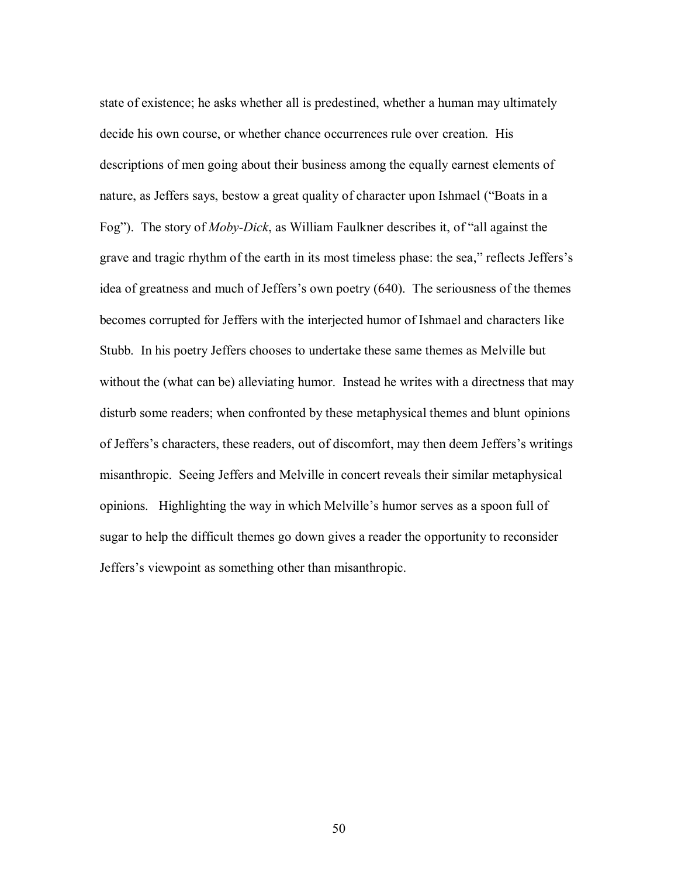state of existence; he asks whether all is predestined, whether a human may ultimately decide his own course, or whether chance occurrences rule over creation. His descriptions of men going about their business among the equally earnest elements of nature, as Jeffers says, bestow a great quality of character upon Ishmael ("Boats in a Fog"). The story of *Moby-Dick*, as William Faulkner describes it, of "all against the grave and tragic rhythm of the earth in its most timeless phase: the sea," reflects Jeffers"s idea of greatness and much of Jeffers's own poetry (640). The seriousness of the themes becomes corrupted for Jeffers with the interjected humor of Ishmael and characters like Stubb. In his poetry Jeffers chooses to undertake these same themes as Melville but without the (what can be) alleviating humor. Instead he writes with a directness that may disturb some readers; when confronted by these metaphysical themes and blunt opinions of Jeffers's characters, these readers, out of discomfort, may then deem Jeffers's writings misanthropic. Seeing Jeffers and Melville in concert reveals their similar metaphysical opinions. Highlighting the way in which Melville"s humor serves as a spoon full of sugar to help the difficult themes go down gives a reader the opportunity to reconsider Jeffers"s viewpoint as something other than misanthropic.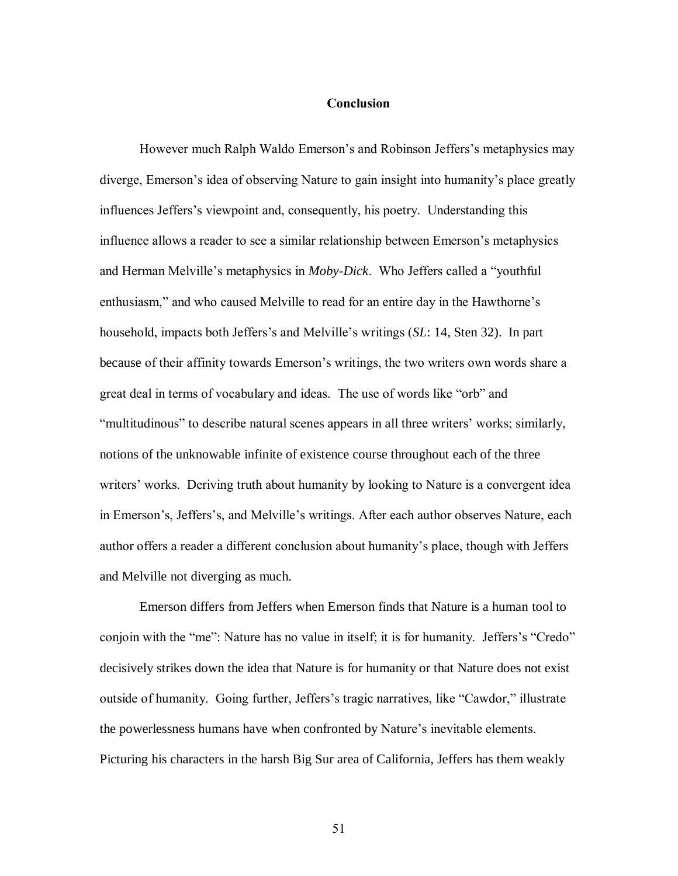#### **Conclusion**

However much Ralph Waldo Emerson's and Robinson Jeffers's metaphysics may diverge, Emerson's idea of observing Nature to gain insight into humanity's place greatly influences Jeffers's viewpoint and, consequently, his poetry. Understanding this influence allows a reader to see a similar relationship between Emerson's metaphysics and Herman Melville's metaphysics in *Moby-Dick*. Who Jeffers called a "youthful enthusiasm," and who caused Melville to read for an entire day in the Hawthorne's household, impacts both Jeffers's and Melville's writings (*SL*: 14, Sten 32). In part because of their affinity towards Emerson's writings, the two writers own words share a great deal in terms of vocabulary and ideas. The use of words like "orb" and "multitudinous" to describe natural scenes appears in all three writers' works; similarly, notions of the unknowable infinite of existence course throughout each of the three writers' works. Deriving truth about humanity by looking to Nature is a convergent idea in Emerson's, Jeffers's, and Melville's writings. After each author observes Nature, each author offers a reader a different conclusion about humanity's place, though with Jeffers and Melville not diverging as much.

Emerson differs from Jeffers when Emerson finds that Nature is a human tool to conjoin with the "me": Nature has no value in itself; it is for humanity. Jeffers's "Credo" decisively strikes down the idea that Nature is for humanity or that Nature does not exist outside of humanity. Going further, Jeffers's tragic narratives, like "Cawdor," illustrate the powerlessness humans have when confronted by Nature's inevitable elements. Picturing his characters in the harsh Big Sur area of California, Jeffers has them weakly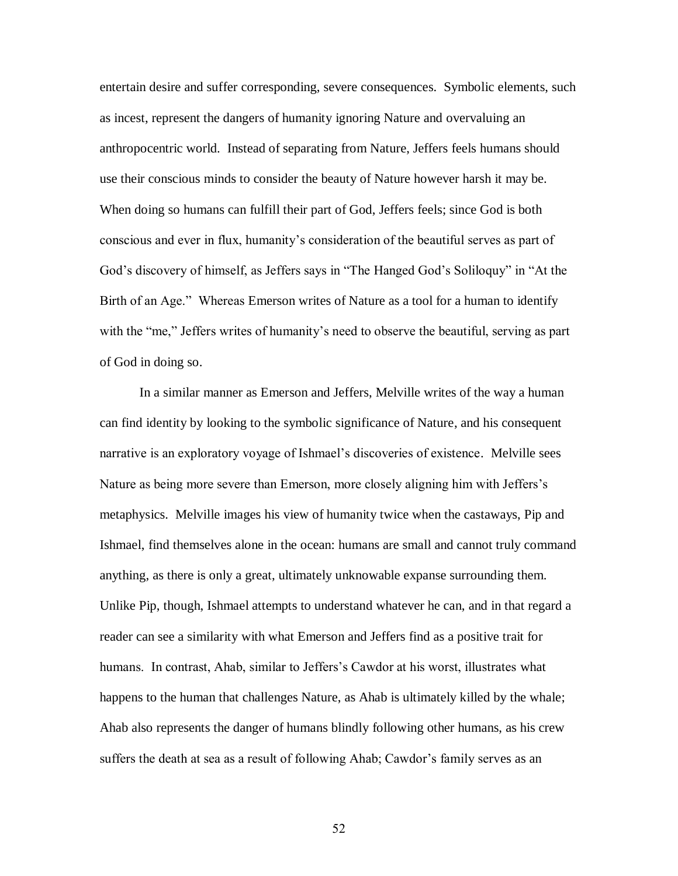entertain desire and suffer corresponding, severe consequences. Symbolic elements, such as incest, represent the dangers of humanity ignoring Nature and overvaluing an anthropocentric world. Instead of separating from Nature, Jeffers feels humans should use their conscious minds to consider the beauty of Nature however harsh it may be. When doing so humans can fulfill their part of God, Jeffers feels; since God is both conscious and ever in flux, humanity's consideration of the beautiful serves as part of God's discovery of himself, as Jeffers says in "The Hanged God's Soliloquy" in "At the Birth of an Age." Whereas Emerson writes of Nature as a tool for a human to identify with the "me," Jeffers writes of humanity's need to observe the beautiful, serving as part of God in doing so.

In a similar manner as Emerson and Jeffers, Melville writes of the way a human can find identity by looking to the symbolic significance of Nature, and his consequent narrative is an exploratory voyage of Ishmael's discoveries of existence. Melville sees Nature as being more severe than Emerson, more closely aligning him with Jeffers's metaphysics. Melville images his view of humanity twice when the castaways, Pip and Ishmael, find themselves alone in the ocean: humans are small and cannot truly command anything, as there is only a great, ultimately unknowable expanse surrounding them. Unlike Pip, though, Ishmael attempts to understand whatever he can, and in that regard a reader can see a similarity with what Emerson and Jeffers find as a positive trait for humans. In contrast, Ahab, similar to Jeffers's Cawdor at his worst, illustrates what happens to the human that challenges Nature, as Ahab is ultimately killed by the whale; Ahab also represents the danger of humans blindly following other humans, as his crew suffers the death at sea as a result of following Ahab; Cawdor's family serves as an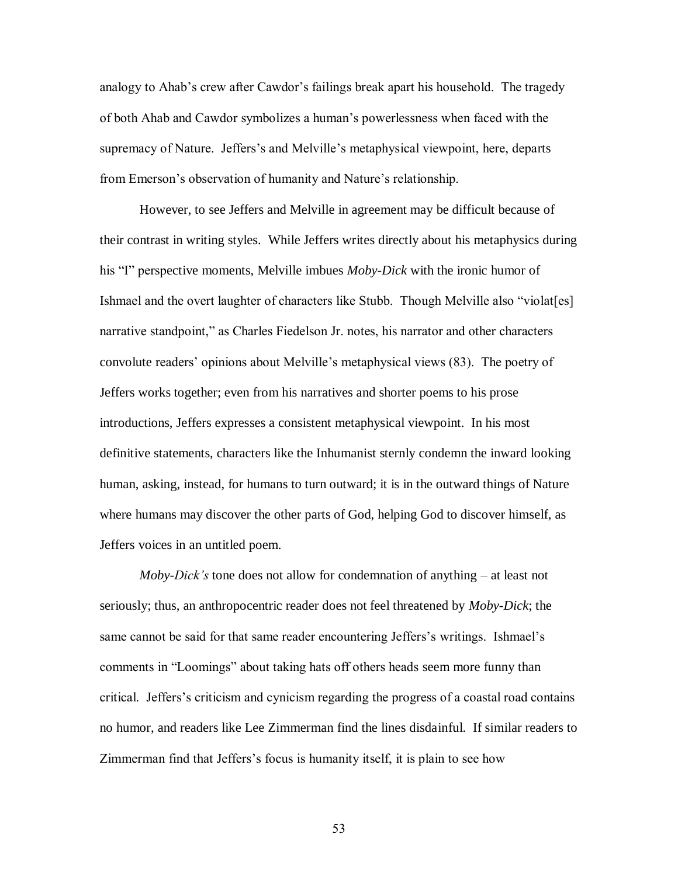analogy to Ahab's crew after Cawdor's failings break apart his household. The tragedy of both Ahab and Cawdor symbolizes a human's powerlessness when faced with the supremacy of Nature. Jeffers's and Melville's metaphysical viewpoint, here, departs from Emerson's observation of humanity and Nature's relationship.

However, to see Jeffers and Melville in agreement may be difficult because of their contrast in writing styles. While Jeffers writes directly about his metaphysics during his "I" perspective moments, Melville imbues *Moby-Dick* with the ironic humor of Ishmael and the overt laughter of characters like Stubb. Though Melville also "violat[es] narrative standpoint," as Charles Fiedelson Jr. notes, his narrator and other characters convolute readers' opinions about Melville's metaphysical views (83). The poetry of Jeffers works together; even from his narratives and shorter poems to his prose introductions, Jeffers expresses a consistent metaphysical viewpoint. In his most definitive statements, characters like the Inhumanist sternly condemn the inward looking human, asking, instead, for humans to turn outward; it is in the outward things of Nature where humans may discover the other parts of God, helping God to discover himself, as Jeffers voices in an untitled poem.

*Moby-Dick's* tone does not allow for condemnation of anything – at least not seriously; thus, an anthropocentric reader does not feel threatened by *Moby-Dick*; the same cannot be said for that same reader encountering Jeffers's writings. Ishmael's comments in "Loomings" about taking hats off others heads seem more funny than critical. Jeffers's criticism and cynicism regarding the progress of a coastal road contains no humor, and readers like Lee Zimmerman find the lines disdainful. If similar readers to Zimmerman find that Jeffers's focus is humanity itself, it is plain to see how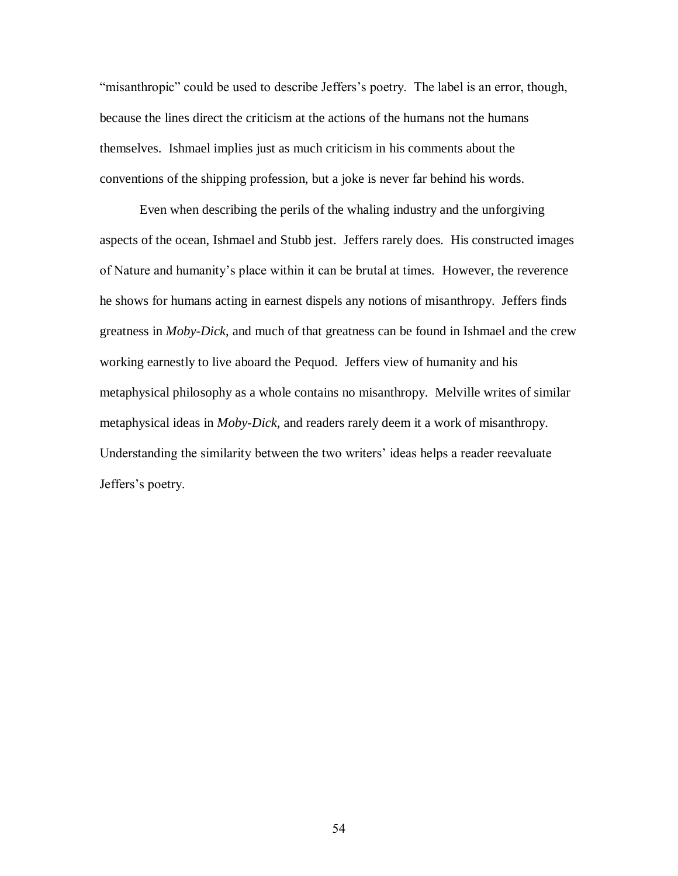"misanthropic" could be used to describe Jeffers's poetry. The label is an error, though, because the lines direct the criticism at the actions of the humans not the humans themselves. Ishmael implies just as much criticism in his comments about the conventions of the shipping profession, but a joke is never far behind his words.

Even when describing the perils of the whaling industry and the unforgiving aspects of the ocean, Ishmael and Stubb jest. Jeffers rarely does. His constructed images of Nature and humanity's place within it can be brutal at times. However, the reverence he shows for humans acting in earnest dispels any notions of misanthropy. Jeffers finds greatness in *Moby-Dick*, and much of that greatness can be found in Ishmael and the crew working earnestly to live aboard the Pequod. Jeffers view of humanity and his metaphysical philosophy as a whole contains no misanthropy. Melville writes of similar metaphysical ideas in *Moby-Dick*, and readers rarely deem it a work of misanthropy. Understanding the similarity between the two writers' ideas helps a reader reevaluate Jeffers's poetry.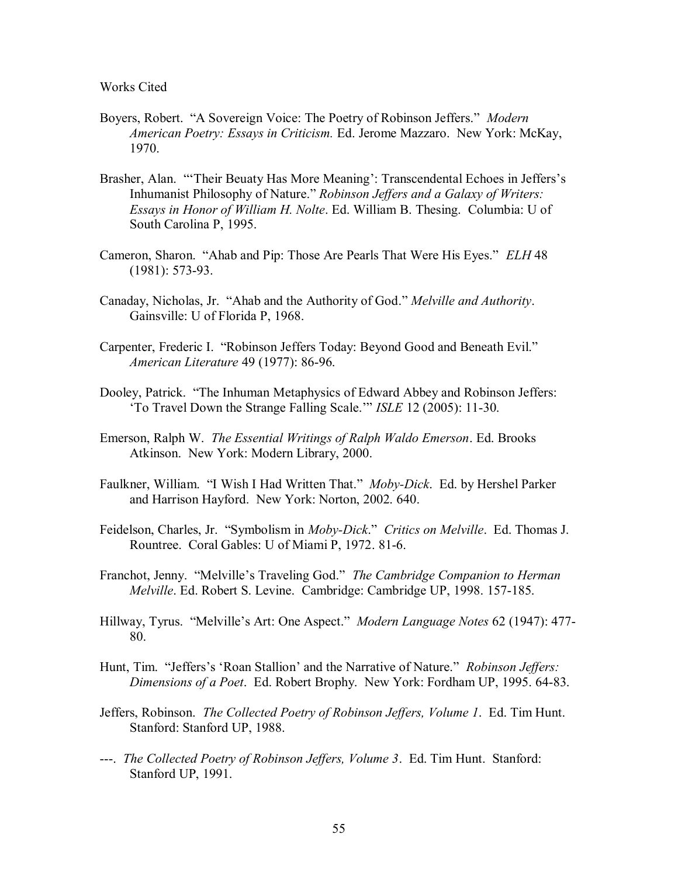Works Cited

- Boyers, Robert. "A Sovereign Voice: The Poetry of Robinson Jeffers." *Modern American Poetry: Essays in Criticism.* Ed. Jerome Mazzaro. New York: McKay, 1970.
- Brasher, Alan. ""Their Beuaty Has More Meaning": Transcendental Echoes in Jeffers"s Inhumanist Philosophy of Nature." *Robinson Jeffers and a Galaxy of Writers: Essays in Honor of William H. Nolte*. Ed. William B. Thesing. Columbia: U of South Carolina P, 1995.
- Cameron, Sharon. "Ahab and Pip: Those Are Pearls That Were His Eyes." *ELH* 48 (1981): 573-93.
- Canaday, Nicholas, Jr. "Ahab and the Authority of God." *Melville and Authority*. Gainsville: U of Florida P, 1968.
- Carpenter, Frederic I. "Robinson Jeffers Today: Beyond Good and Beneath Evil." *American Literature* 49 (1977): 86-96.
- Dooley, Patrick. "The Inhuman Metaphysics of Edward Abbey and Robinson Jeffers: "To Travel Down the Strange Falling Scale."" *ISLE* 12 (2005): 11-30.
- Emerson, Ralph W. *The Essential Writings of Ralph Waldo Emerson*. Ed. Brooks Atkinson. New York: Modern Library, 2000.
- Faulkner, William. "I Wish I Had Written That." *Moby-Dick*. Ed. by Hershel Parker and Harrison Hayford. New York: Norton, 2002. 640.
- Feidelson, Charles, Jr. "Symbolism in *Moby-Dick*." *Critics on Melville*. Ed. Thomas J. Rountree. Coral Gables: U of Miami P, 1972. 81-6.
- Franchot, Jenny. "Melville"s Traveling God." *The Cambridge Companion to Herman Melville*. Ed. Robert S. Levine. Cambridge: Cambridge UP, 1998. 157-185.
- Hillway, Tyrus. "Melville"s Art: One Aspect." *Modern Language Notes* 62 (1947): 477- 80.
- Hunt, Tim. "Jeffers's 'Roan Stallion' and the Narrative of Nature." *Robinson Jeffers: Dimensions of a Poet*. Ed. Robert Brophy. New York: Fordham UP, 1995. 64-83.
- Jeffers, Robinson. *The Collected Poetry of Robinson Jeffers, Volume 1*. Ed. Tim Hunt. Stanford: Stanford UP, 1988.
- ---. *The Collected Poetry of Robinson Jeffers, Volume 3*. Ed. Tim Hunt. Stanford: Stanford UP, 1991.